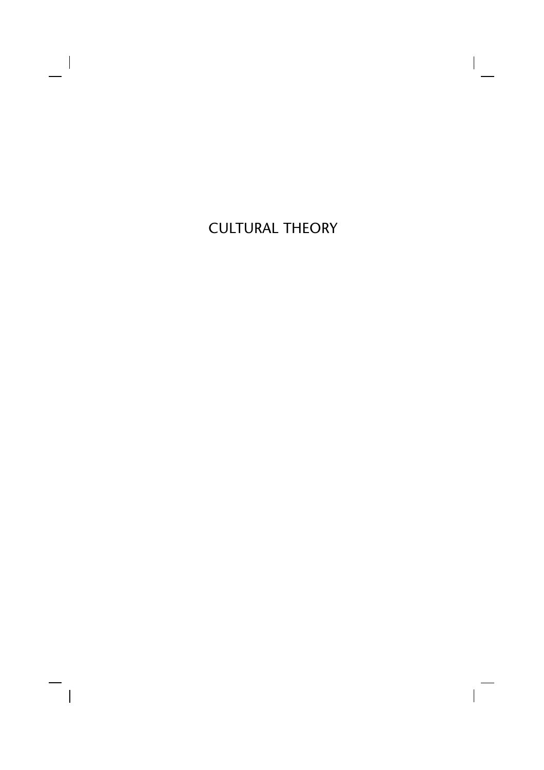CULTURAL THEORY

 $\overline{\phantom{a}}$ 

 $\begin{array}{c} \end{array}$ 

 $\overline{\phantom{a}}$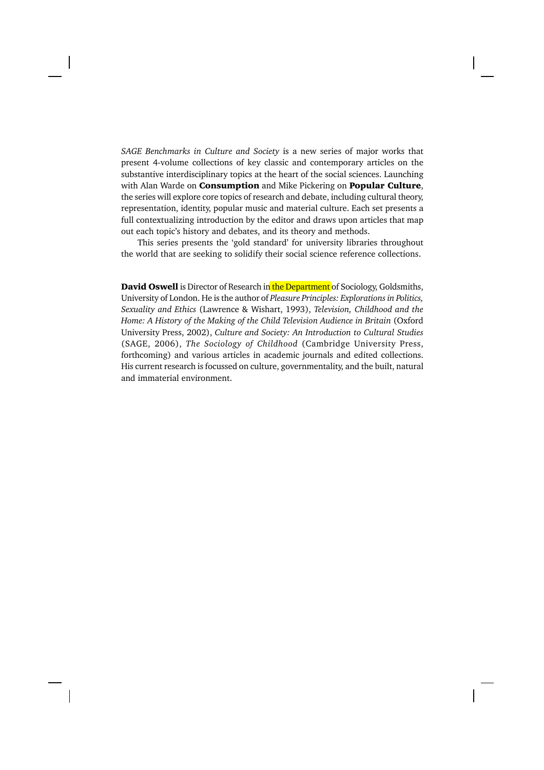*SAGE Benchmarks in Culture and Society* is a new series of major works that present 4-volume collections of key classic and contemporary articles on the substantive interdisciplinary topics at the heart of the social sciences. Launching with Alan Warde on **Consumption** and Mike Pickering on **Popular Culture**, the series will explore core topics of research and debate, including cultural theory, representation, identity, popular music and material culture. Each set presents a full contextualizing introduction by the editor and draws upon articles that map out each topic's history and debates, and its theory and methods.

This series presents the 'gold standard' for university libraries throughout the world that are seeking to solidify their social science reference collections.

**David Oswell** is Director of Research in the Department of Sociology, Goldsmiths, University of London. He is the author of *Pleasure Principles: Explorations in Politics, Sexuality and Ethics* (Lawrence & Wishart, 1993), *Television, Childhood and the Home: A History of the Making of the Child Television Audience in Britain* (Oxford University Press, 2002), *Culture and Society: An Introduction to Cultural Studies* (SAGE, 2006), *The Sociology of Childhood* (Cambridge University Press, forthcoming) and various articles in academic journals and edited collections. His current research is focussed on culture, governmentality, and the built, natural and immaterial environment.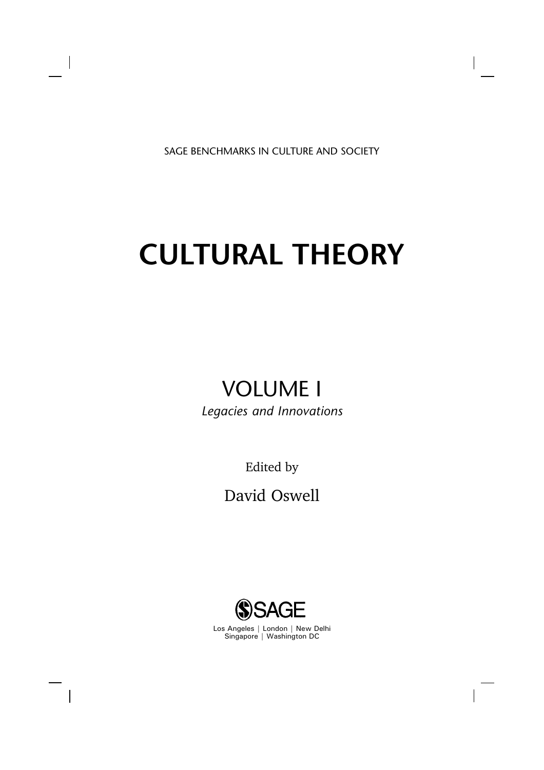SAGE BENCHMARKS IN CULTURE AND SOCIETY

# **CULTURAL THEORY**

# VOLUME I

*Legacies and Innovations*

Edited by

David Oswell



Los Angeles | London | New Delhi Singapore | Washington DC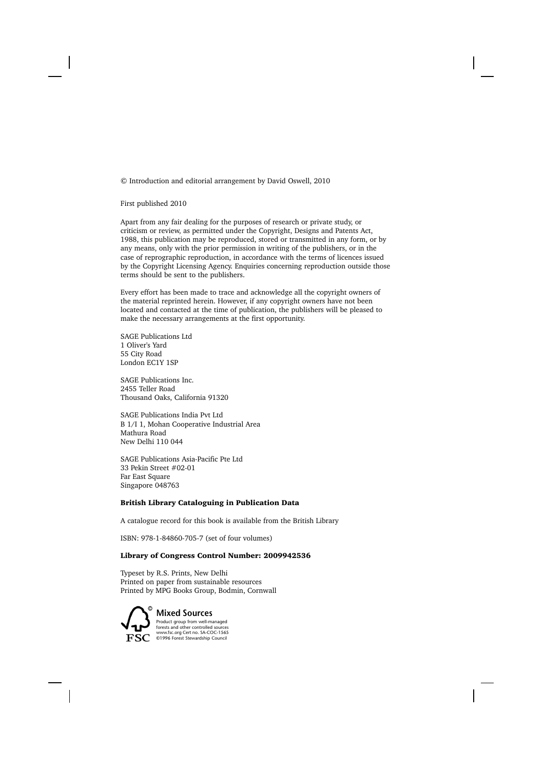© Introduction and editorial arrangement by David Oswell, 2010

First published 2010

Apart from any fair dealing for the purposes of research or private study, or criticism or review, as permitted under the Copyright, Designs and Patents Act, 1988, this publication may be reproduced, stored or transmitted in any form, or by any means, only with the prior permission in writing of the publishers, or in the case of reprographic reproduction, in accordance with the terms of licences issued by the Copyright Licensing Agency. Enquiries concerning reproduction outside those terms should be sent to the publishers.

Every effort has been made to trace and acknowledge all the copyright owners of the material reprinted herein. However, if any copyright owners have not been located and contacted at the time of publication, the publishers will be pleased to make the necessary arrangements at the first opportunity.

SAGE Publications Ltd 1 Oliver's Yard 55 City Road London EC1Y 1SP

SAGE Publications Inc. 2455 Teller Road Thousand Oaks, California 91320

SAGE Publications India Pvt Ltd B 1/I 1, Mohan Cooperative Industrial Area Mathura Road New Delhi 110 044

SAGE Publications Asia-Pacific Pte Ltd 33 Pekin Street #02-01 Far East Square Singapore 048763

#### British Library Cataloguing in Publication Data

A catalogue record for this book is available from the British Library

ISBN: 978-1-84860-705-7 (set of four volumes)

#### Library of Congress Control Number: 2009942536

Typeset by R.S. Prints, New Delhi Printed on paper from sustainable resources Printed by MPG Books Group, Bodmin, Cornwall

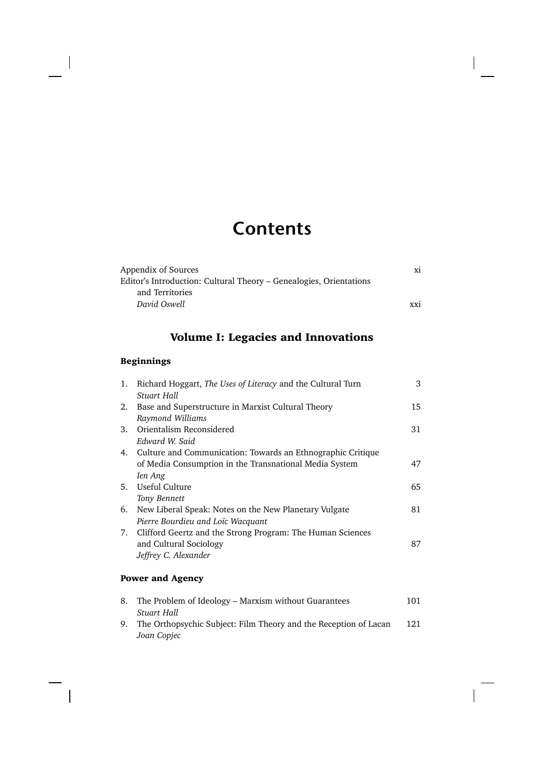# **Contents**

| Appendix of Sources                                                | xi  |
|--------------------------------------------------------------------|-----|
| Editor's Introduction: Cultural Theory – Genealogies, Orientations |     |
| and Territories                                                    |     |
| David Oswell                                                       | xxi |

# Volume I: Legacies and Innovations

# Beginnings

 $\overline{\phantom{a}}$ 

| 1. | Richard Hoggart, The Uses of Literacy and the Cultural Turn    | 3   |
|----|----------------------------------------------------------------|-----|
|    | Stuart Hall                                                    |     |
| 2. | Base and Superstructure in Marxist Cultural Theory             | 15  |
|    | Raymond Williams                                               |     |
| 3. | Orientalism Reconsidered                                       | 31  |
|    | Edward W. Said                                                 |     |
|    | 4. Culture and Communication: Towards an Ethnographic Critique |     |
|    | of Media Consumption in the Transnational Media System         | 47  |
|    | Ien Ang                                                        |     |
| 5. | Useful Culture                                                 | 65  |
|    | Tony Bennett                                                   |     |
| 6. | New Liberal Speak: Notes on the New Planetary Vulgate          | 81  |
|    | Pierre Bourdieu and Loïc Wacquant                              |     |
|    | 7. Clifford Geertz and the Strong Program: The Human Sciences  |     |
|    | and Cultural Sociology                                         | 87  |
|    | Jeffrey C. Alexander                                           |     |
|    |                                                                |     |
|    | <b>Power and Agency</b>                                        |     |
| 8. | The Problem of Ideology - Marxism without Guarantees           | 101 |
|    | Stuart Hall                                                    |     |

9. The Orthopsychic Subject: Film Theory and the Reception of Lacan 121 *Joan Copjec*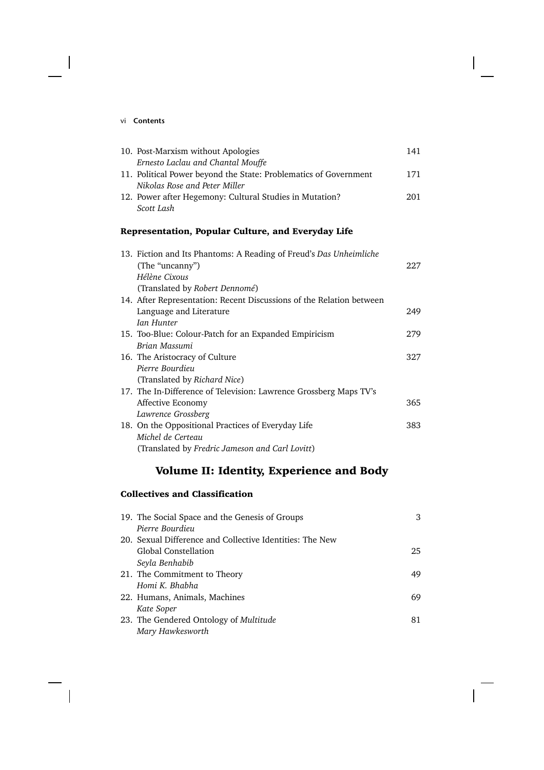### vi **Contents**

 $\overline{\phantom{a}}$ 

| 10. Post-Marxism without Apologies<br>Ernesto Laclau and Chantal Mouffe                                                                  | 141 |
|------------------------------------------------------------------------------------------------------------------------------------------|-----|
| 11. Political Power beyond the State: Problematics of Government<br>Nikolas Rose and Peter Miller                                        | 171 |
| 12. Power after Hegemony: Cultural Studies in Mutation?<br>Scott Lash                                                                    | 201 |
| Representation, Popular Culture, and Everyday Life                                                                                       |     |
| 13. Fiction and Its Phantoms: A Reading of Freud's Das Unheimliche<br>(The "uncanny")<br>Hélène Cixous<br>(Translated by Robert Dennomé) | 227 |
| 14. After Representation: Recent Discussions of the Relation between<br>Language and Literature<br><b><i><u>Ian Hunter</u></i></b>       | 249 |
| 15. Too-Blue: Colour-Patch for an Expanded Empiricism<br>Brian Massumi                                                                   | 279 |
| 16. The Aristocracy of Culture<br>Pierre Bourdieu<br>(Translated by Richard Nice)                                                        | 327 |
| 17. The In-Difference of Television: Lawrence Grossberg Maps TV's<br>Affective Economy<br>Lawrence Grossberg                             | 365 |
| 18. On the Oppositional Practices of Everyday Life<br>Michel de Certeau<br>(Translated by Fredric Jameson and Carl Lovitt)               | 383 |
|                                                                                                                                          |     |

# Volume II: Identity, Experience and Body

# Collectives and Classification

| 19. The Social Space and the Genesis of Groups            | 3  |
|-----------------------------------------------------------|----|
| Pierre Bourdieu                                           |    |
| 20.  Sexual Difference and Collective Identities: The New |    |
| <b>Global Constellation</b>                               | 25 |
| Seyla Benhabib                                            |    |
| 21. The Commitment to Theory                              | 49 |
| Homi K. Bhabha                                            |    |
| 22. Humans, Animals, Machines                             | 69 |
| Kate Soper                                                |    |
| 23. The Gendered Ontology of Multitude                    | 81 |
| Mary Hawkesworth                                          |    |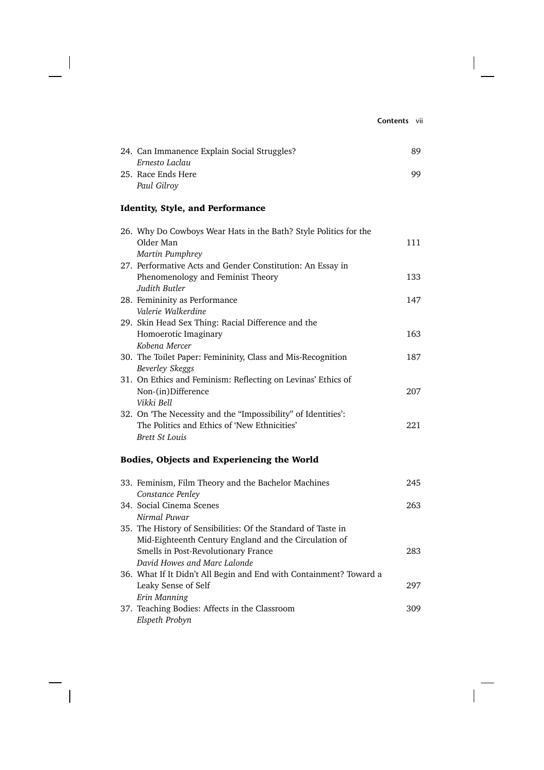| Contents | VΙΙ |
|----------|-----|
|          |     |

 $\overline{\phantom{a}}$ 

| 24. Can Immanence Explain Social Struggles? | 89 |
|---------------------------------------------|----|
| Ernesto Laclau                              |    |
| 25. Race Ends Here                          | 99 |
| Paul Gilroy                                 |    |

# Identity, Style, and Performance

 $\overline{\phantom{a}}$ 

| 26. Why Do Cowboys Wear Hats in the Bath? Style Politics for the   |     |
|--------------------------------------------------------------------|-----|
| Older Man                                                          | 111 |
| Martin Pumphrey                                                    |     |
| 27. Performative Acts and Gender Constitution: An Essay in         |     |
| Phenomenology and Feminist Theory                                  | 133 |
| Judith Butler                                                      |     |
| 28. Femininity as Performance                                      | 147 |
| Valerie Walkerdine                                                 |     |
| 29. Skin Head Sex Thing: Racial Difference and the                 |     |
| Homoerotic Imaginary                                               | 163 |
| Kobena Mercer                                                      |     |
| 30. The Toilet Paper: Femininity, Class and Mis-Recognition        | 187 |
| <b>Beverley Skeggs</b>                                             |     |
| 31. On Ethics and Feminism: Reflecting on Levinas' Ethics of       |     |
| Non-(in)Difference                                                 | 207 |
| Vikki Bell                                                         |     |
| 32. On 'The Necessity and the "Impossibility" of Identities':      |     |
| The Politics and Ethics of 'New Ethnicities'                       | 221 |
| <b>Brett St Louis</b>                                              |     |
| Bodies, Objects and Experiencing the World                         |     |
| 33. Feminism, Film Theory and the Bachelor Machines                | 245 |
| Constance Penley                                                   |     |
| 34. Social Cinema Scenes                                           | 263 |
| Nirmal Puwar                                                       |     |
| 35. The History of Sensibilities: Of the Standard of Taste in      |     |
| Mid-Eighteenth Century England and the Circulation of              |     |
| Smells in Post-Revolutionary France                                | 283 |
| David Howes and Marc Lalonde                                       |     |
| 36. What If It Didn't All Begin and End with Containment? Toward a |     |
| Leaky Sense of Self                                                | 297 |
| Erin Manning                                                       |     |
| 37. Teaching Bodies: Affects in the Classroom                      | 309 |
| Elspeth Probyn                                                     |     |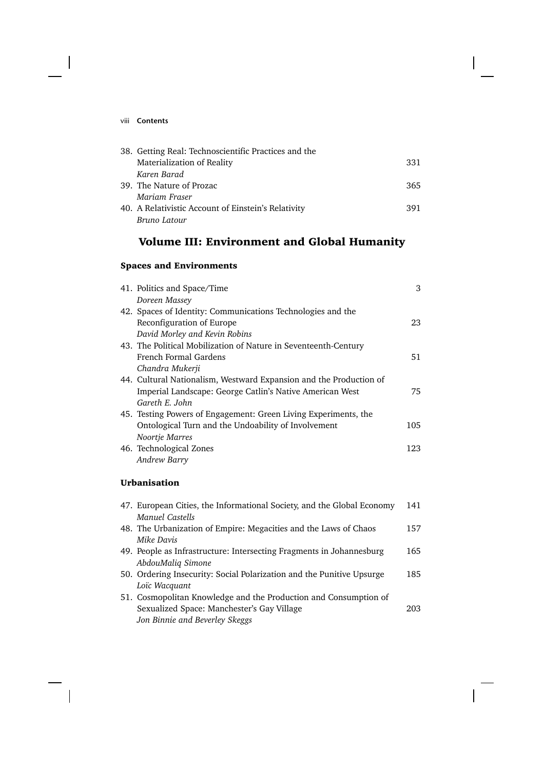### viii **Contents**

| 38. Getting Real: Technoscientific Practices and the |     |
|------------------------------------------------------|-----|
| Materialization of Reality                           | 331 |
| Karen Barad                                          |     |
| 39. The Nature of Prozac                             | 365 |
| Mariam Fraser                                        |     |
| 40. A Relativistic Account of Einstein's Relativity  | 391 |
| Bruno Latour                                         |     |

# Volume III: Environment and Global Humanity

# Spaces and Environments

| 41. Politics and Space/Time                                        | 3   |
|--------------------------------------------------------------------|-----|
| Doreen Massey                                                      |     |
| 42. Spaces of Identity: Communications Technologies and the        |     |
| Reconfiguration of Europe                                          | 23  |
| David Morley and Kevin Robins                                      |     |
| 43. The Political Mobilization of Nature in Seventeenth-Century    |     |
| French Formal Gardens                                              | 51  |
| Chandra Mukerji                                                    |     |
| 44. Cultural Nationalism, Westward Expansion and the Production of |     |
| Imperial Landscape: George Catlin's Native American West           | 75  |
| Gareth E. John                                                     |     |
| 45. Testing Powers of Engagement: Green Living Experiments, the    |     |
| Ontological Turn and the Undoability of Involvement                | 105 |
| Noortje Marres                                                     |     |
| 46. Technological Zones                                            | 123 |
| Andrew Barry                                                       |     |

### Urbanisation

| 47. European Cities, the Informational Society, and the Global Economy | 141 |
|------------------------------------------------------------------------|-----|
| Manuel Castells                                                        |     |
| 48. The Urbanization of Empire: Megacities and the Laws of Chaos       | 157 |
| Mike Davis                                                             |     |
| 49. People as Infrastructure: Intersecting Fragments in Johannesburg   | 165 |
| AbdouMaliq Simone                                                      |     |
| 50. Ordering Insecurity: Social Polarization and the Punitive Upsurge  | 185 |
| Loïc Wacquant                                                          |     |
| 51. Cosmopolitan Knowledge and the Production and Consumption of       |     |
| Sexualized Space: Manchester's Gay Village                             | 203 |
| Jon Binnie and Beverley Skeggs                                         |     |
|                                                                        |     |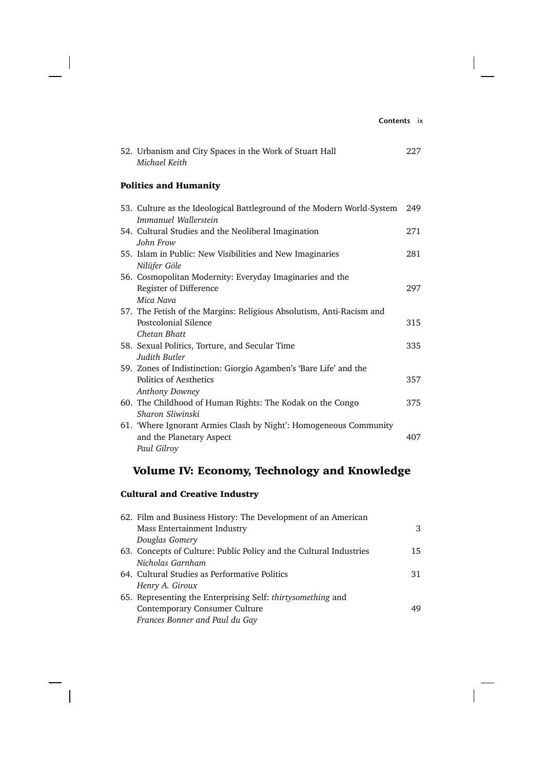| Contents | IX |
|----------|----|
|          |    |

| 52. Urbanism and City Spaces in the Work of Stuart Hall<br>Michael Keith                                      | 227 |
|---------------------------------------------------------------------------------------------------------------|-----|
| <b>Politics and Humanity</b>                                                                                  |     |
| 53. Culture as the Ideological Battleground of the Modern World-System<br>Immanuel Wallerstein                | 249 |
| 54. Cultural Studies and the Neoliberal Imagination<br>John Frow                                              | 271 |
| 55. Islam in Public: New Visibilities and New Imaginaries<br>Nilüfer Göle                                     | 281 |
| 56. Cosmopolitan Modernity: Everyday Imaginaries and the<br>Register of Difference<br>Mica Nava               | 297 |
| 57. The Fetish of the Margins: Religious Absolutism, Anti-Racism and<br>Postcolonial Silence<br>Chetan Bhatt  | 315 |
| 58. Sexual Politics, Torture, and Secular Time<br>Judith Butler                                               | 335 |
| 59. Zones of Indistinction: Giorgio Agamben's 'Bare Life' and the<br>Politics of Aesthetics<br>Anthony Downey | 357 |
| 60. The Childhood of Human Rights: The Kodak on the Congo<br>Sharon Sliwinski                                 | 375 |
| 61. 'Where Ignorant Armies Clash by Night': Homogeneous Community<br>and the Planetary Aspect<br>Paul Gilroy  | 407 |

# Volume IV: Economy, Technology and Knowledge

# Cultural and Creative Industry

| 62. Film and Business History: The Development of an American      |    |
|--------------------------------------------------------------------|----|
| Mass Entertainment Industry                                        | 3  |
| Douglas Gomery                                                     |    |
| 63. Concepts of Culture: Public Policy and the Cultural Industries | 15 |
| Nicholas Garnham                                                   |    |
| 64. Cultural Studies as Performative Politics                      | 31 |
| Henry A. Giroux                                                    |    |
| 65. Representing the Enterprising Self: thirtysomething and        |    |
| Contemporary Consumer Culture                                      | 49 |
| Frances Bonner and Paul du Gay                                     |    |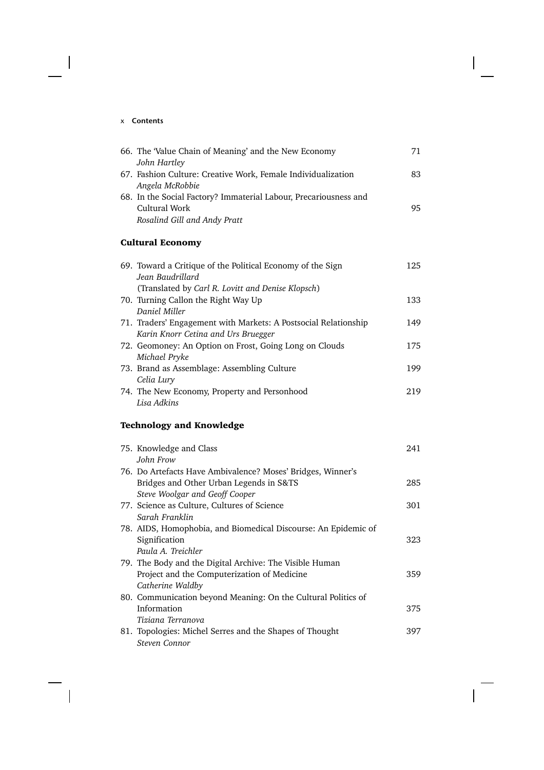### x **Contents**

 $\overline{\phantom{a}}$ 

| 66. The 'Value Chain of Meaning' and the New Economy<br>John Hartley                                                                     | 71  |
|------------------------------------------------------------------------------------------------------------------------------------------|-----|
| 67. Fashion Culture: Creative Work, Female Individualization<br>Angela McRobbie                                                          | 83  |
| 68. In the Social Factory? Immaterial Labour, Precariousness and<br>Cultural Work<br>Rosalind Gill and Andy Pratt                        | 95  |
| <b>Cultural Economy</b>                                                                                                                  |     |
| 69. Toward a Critique of the Political Economy of the Sign<br>Jean Baudrillard<br>(Translated by Carl R. Lovitt and Denise Klopsch)      | 125 |
| 70. Turning Callon the Right Way Up<br>Daniel Miller                                                                                     | 133 |
| 71. Traders' Engagement with Markets: A Postsocial Relationship<br>Karin Knorr Cetina and Urs Bruegger                                   | 149 |
| 72. Geomoney: An Option on Frost, Going Long on Clouds<br>Michael Pryke                                                                  | 175 |
| 73. Brand as Assemblage: Assembling Culture<br>Celia Lury                                                                                | 199 |
| 74. The New Economy, Property and Personhood<br>Lisa Adkins                                                                              | 219 |
| <b>Technology and Knowledge</b>                                                                                                          |     |
| 75. Knowledge and Class<br>John Frow                                                                                                     | 241 |
| 76. Do Artefacts Have Ambivalence? Moses' Bridges, Winner's<br>Bridges and Other Urban Legends in S&TS<br>Steve Woolgar and Geoff Cooper | 285 |
| 77. Science as Culture, Cultures of Science<br>Sarah Franklin                                                                            | 301 |
| 78. AIDS, Homophobia, and Biomedical Discourse: An Epidemic of<br>Signification<br>Paula A. Treichler                                    | 323 |
|                                                                                                                                          |     |

| 79. The Body and the Digital Archive: The Visible Human       |     |
|---------------------------------------------------------------|-----|
| Project and the Computerization of Medicine                   | 359 |
| Catherine Waldby                                              |     |
| 80. Communication beyond Meaning: On the Cultural Politics of |     |
| Information                                                   | 375 |
| Tiziana Terranova                                             |     |
| 81. Topologies: Michel Serres and the Shapes of Thought       | 397 |
| Steven Connor                                                 |     |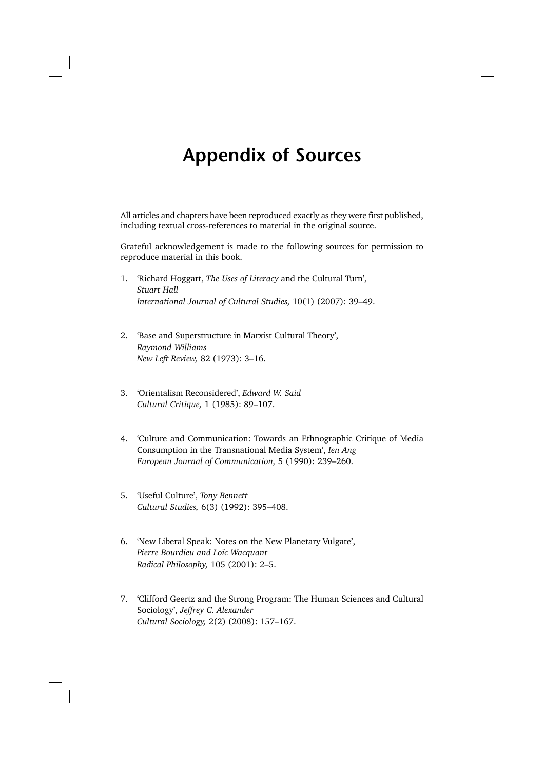# **Appendix of Sources**

All articles and chapters have been reproduced exactly as they were first published, including textual cross-references to material in the original source.

Grateful acknowledgement is made to the following sources for permission to reproduce material in this book.

- 1. 'Richard Hoggart, *The Uses of Literacy* and the Cultural Turn', *Stuart Hall International Journal of Cultural Studies,* 10(1) (2007): 39–49.
- 2. 'Base and Superstructure in Marxist Cultural Theory', *Raymond Williams New Left Review,* 82 (1973): 3–16.
- 3. 'Orientalism Reconsidered', *Edward W. Said Cultural Critique,* 1 (1985): 89–107.
- 4. 'Culture and Communication: Towards an Ethnographic Critique of Media Consumption in the Transnational Media System', *Ien Ang European Journal of Communication,* 5 (1990): 239–260.
- 5. 'Useful Culture', *Tony Bennett Cultural Studies,* 6(3) (1992): 395–408.
- 6. 'New Liberal Speak: Notes on the New Planetary Vulgate', *Pierre Bourdieu and Loïc Wacquant Radical Philosophy,* 105 (2001): 2–5.
- 7. 'Clifford Geertz and the Strong Program: The Human Sciences and Cultural Sociology', *Jeffrey C. Alexander Cultural Sociology,* 2(2) (2008): 157–167.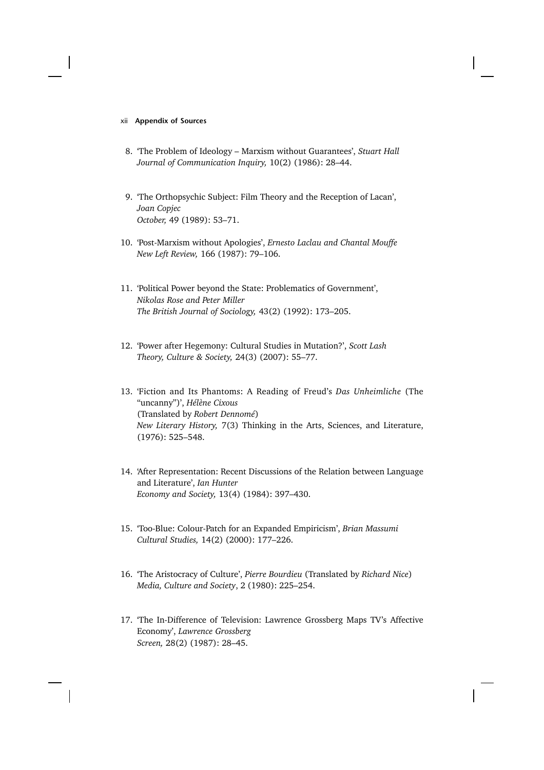#### xii **Appendix of Sources**

- 18. 'The Problem of Ideology Marxism without Guarantees', *Stuart Hall Journal of Communication Inquiry,* 10(2) (1986): 28–44.
- 19. 'The Orthopsychic Subject: Film Theory and the Reception of Lacan', *Joan Copjec October,* 49 (1989): 53–71.
- 10. 'Post-Marxism without Apologies', *Ernesto Laclau and Chantal Mouffe New Left Review,* 166 (1987): 79–106.
- 11. 'Political Power beyond the State: Problematics of Government', *Nikolas Rose and Peter Miller The British Journal of Sociology,* 43(2) (1992): 173–205.
- 12. 'Power after Hegemony: Cultural Studies in Mutation?', *Scott Lash Theory, Culture & Society,* 24(3) (2007): 55–77.
- 13. 'Fiction and Its Phantoms: A Reading of Freud's *Das Unheimliche* (The "uncanny")', *Hélène Cixous* (Translated by *Robert Dennomé*) *New Literary History,* 7(3) Thinking in the Arts, Sciences, and Literature, (1976): 525–548.
- 14. 'After Representation: Recent Discussions of the Relation between Language and Literature', *Ian Hunter Economy and Society,* 13(4) (1984): 397–430.
- 15. 'Too-Blue: Colour-Patch for an Expanded Empiricism', *Brian Massumi Cultural Studies,* 14(2) (2000): 177–226.
- 16. 'The Aristocracy of Culture', *Pierre Bourdieu* (Translated by *Richard Nice*) *Media, Culture and Society*, 2 (1980): 225–254.
- 17. 'The In-Difference of Television: Lawrence Grossberg Maps TV's Affective Economy', *Lawrence Grossberg Screen,* 28(2) (1987): 28–45.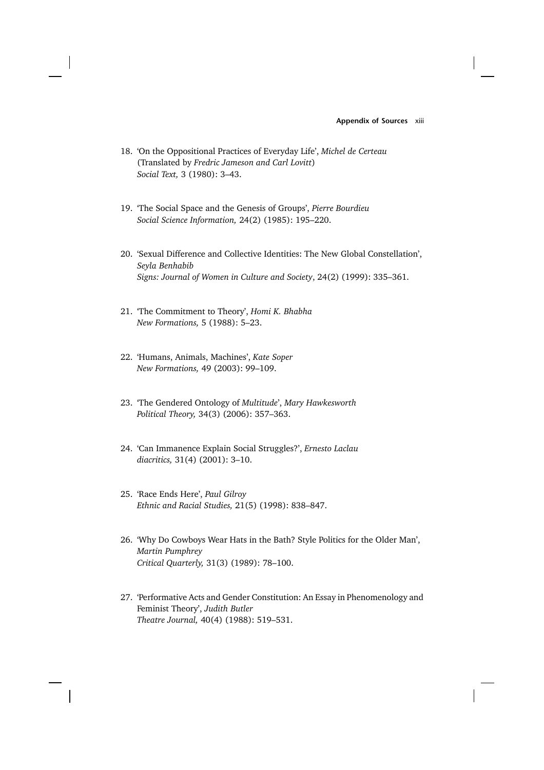- 18. 'On the Oppositional Practices of Everyday Life', *Michel de Certeau* (Translated by *Fredric Jameson and Carl Lovitt*) *Social Text,* 3 (1980): 3–43.
- 19. 'The Social Space and the Genesis of Groups', *Pierre Bourdieu Social Science Information,* 24(2) (1985): 195–220.
- 20. 'Sexual Difference and Collective Identities: The New Global Constellation', *Seyla Benhabib Signs: Journal of Women in Culture and Society*, 24(2) (1999): 335–361.
- 21. 'The Commitment to Theory', *Homi K. Bhabha New Formations,* 5 (1988): 5–23.
- 22. 'Humans, Animals, Machines', *Kate Soper New Formations,* 49 (2003): 99–109.
- 23. 'The Gendered Ontology of *Multitude*', *Mary Hawkesworth Political Theory,* 34(3) (2006): 357–363.
- 24. 'Can Immanence Explain Social Struggles?', *Ernesto Laclau diacritics,* 31(4) (2001): 3–10.
- 25. 'Race Ends Here', *Paul Gilroy Ethnic and Racial Studies,* 21(5) (1998): 838–847.
- 26. 'Why Do Cowboys Wear Hats in the Bath? Style Politics for the Older Man', *Martin Pumphrey Critical Quarterly,* 31(3) (1989): 78–100.
- 27. 'Performative Acts and Gender Constitution: An Essay in Phenomenology and Feminist Theory', *Judith Butler Theatre Journal,* 40(4) (1988): 519–531.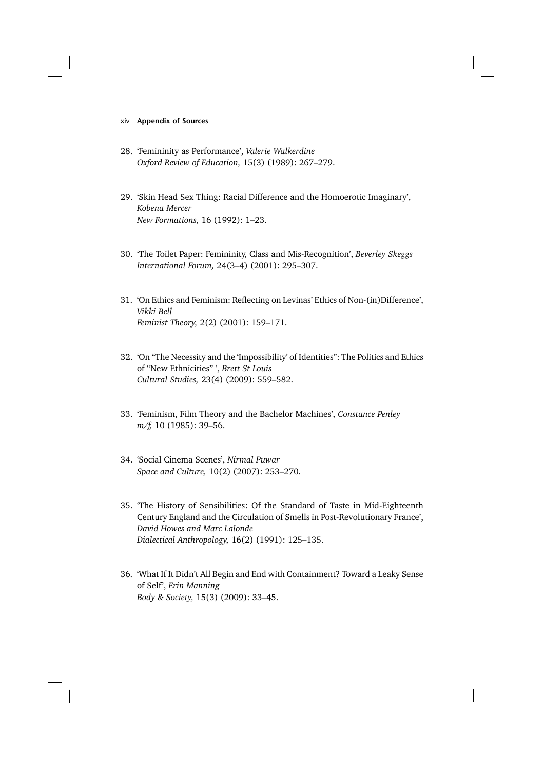#### xiv **Appendix of Sources**

- 28. 'Femininity as Performance', *Valerie Walkerdine Oxford Review of Education,* 15(3) (1989): 267–279.
- 29. 'Skin Head Sex Thing: Racial Difference and the Homoerotic Imaginary', *Kobena Mercer New Formations,* 16 (1992): 1–23.
- 30. 'The Toilet Paper: Femininity, Class and Mis-Recognition', *Beverley Skeggs International Forum,* 24(3–4) (2001): 295–307.
- 31. 'On Ethics and Feminism: Reflecting on Levinas' Ethics of Non-(in)Difference', *Vikki Bell Feminist Theory,* 2(2) (2001): 159–171.
- 32. 'On "The Necessity and the 'Impossibility' of Identities": The Politics and Ethics of "New Ethnicities" ', *Brett St Louis Cultural Studies,* 23(4) (2009): 559–582.
- 33. 'Feminism, Film Theory and the Bachelor Machines', *Constance Penley m/f,* 10 (1985): 39–56.
- 34. 'Social Cinema Scenes', *Nirmal Puwar Space and Culture,* 10(2) (2007): 253–270.
- 35. 'The History of Sensibilities: Of the Standard of Taste in Mid-Eighteenth Century England and the Circulation of Smells in Post-Revolutionary France', *David Howes and Marc Lalonde Dialectical Anthropology,* 16(2) (1991): 125–135.
- 36. 'What If It Didn't All Begin and End with Containment? Toward a Leaky Sense of Self', *Erin Manning Body & Society,* 15(3) (2009): 33–45.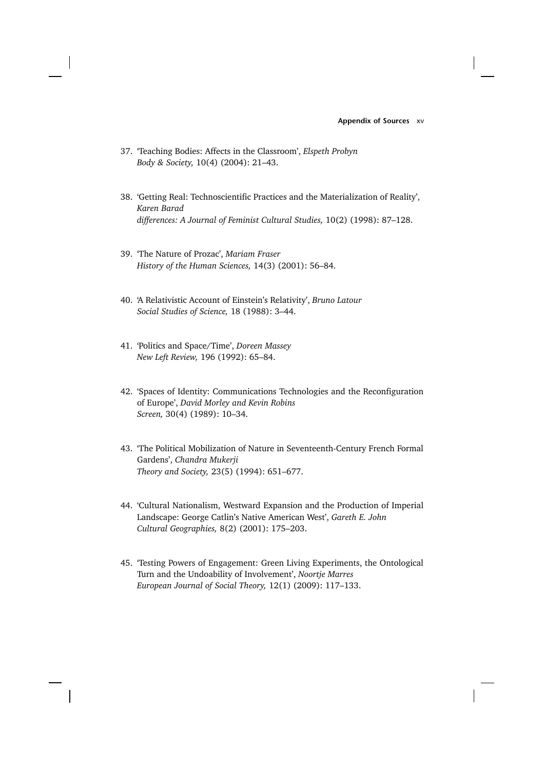- 37. 'Teaching Bodies: Affects in the Classroom', *Elspeth Probyn Body & Society,* 10(4) (2004): 21–43.
- 38. 'Getting Real: Technoscientific Practices and the Materialization of Reality', *Karen Barad differences: A Journal of Feminist Cultural Studies,* 10(2) (1998): 87–128.
- 39. 'The Nature of Prozac', *Mariam Fraser History of the Human Sciences,* 14(3) (2001): 56–84.
- 40. 'A Relativistic Account of Einstein's Relativity', *Bruno Latour Social Studies of Science,* 18 (1988): 3–44.
- 41. 'Politics and Space/Time', *Doreen Massey New Left Review,* 196 (1992): 65–84.
- 42. 'Spaces of Identity: Communications Technologies and the Reconfiguration of Europe', *David Morley and Kevin Robins Screen,* 30(4) (1989): 10–34.
- 43. 'The Political Mobilization of Nature in Seventeenth-Century French Formal Gardens', *Chandra Mukerji Theory and Society,* 23(5) (1994): 651–677.
- 44. 'Cultural Nationalism, Westward Expansion and the Production of Imperial Landscape: George Catlin's Native American West', *Gareth E. John Cultural Geographies,* 8(2) (2001): 175–203.
- 45. 'Testing Powers of Engagement: Green Living Experiments, the Ontological Turn and the Undoability of Involvement', *Noortje Marres European Journal of Social Theory,* 12(1) (2009): 117–133.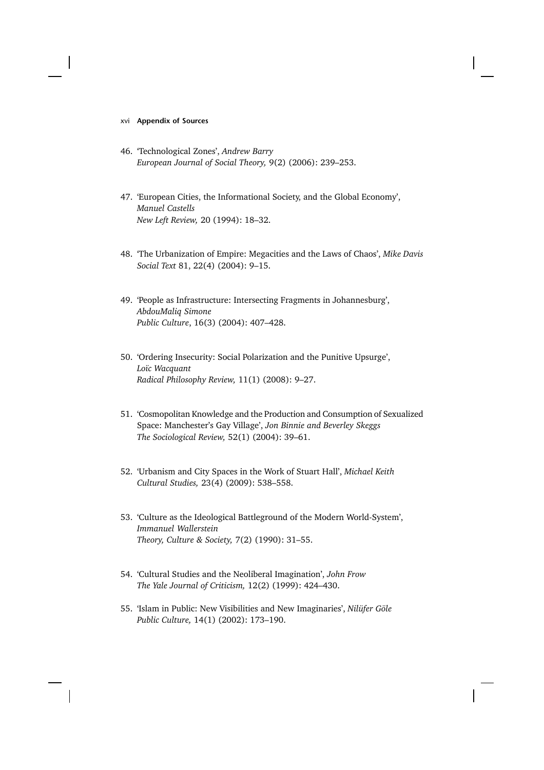#### xvi **Appendix of Sources**

- 46. 'Technological Zones', *Andrew Barry European Journal of Social Theory,* 9(2) (2006): 239–253.
- 47. 'European Cities, the Informational Society, and the Global Economy', *Manuel Castells New Left Review,* 20 (1994): 18–32.
- 48. 'The Urbanization of Empire: Megacities and the Laws of Chaos', *Mike Davis Social Text* 81, 22(4) (2004): 9–15.
- 49. 'People as Infrastructure: Intersecting Fragments in Johannesburg', *AbdouMaliq Simone Public Culture*, 16(3) (2004): 407–428.
- 50. 'Ordering Insecurity: Social Polarization and the Punitive Upsurge', *Loïc Wacquant Radical Philosophy Review,* 11(1) (2008): 9–27.
- 51. 'Cosmopolitan Knowledge and the Production and Consumption of Sexualized Space: Manchester's Gay Village', *Jon Binnie and Beverley Skeggs The Sociological Review,* 52(1) (2004): 39–61.
- 52. 'Urbanism and City Spaces in the Work of Stuart Hall', *Michael Keith Cultural Studies,* 23(4) (2009): 538–558.
- 53. 'Culture as the Ideological Battleground of the Modern World-System', *Immanuel Wallerstein Theory, Culture & Society,* 7(2) (1990): 31–55.
- 54. 'Cultural Studies and the Neoliberal Imagination', *John Frow The Yale Journal of Criticism,* 12(2) (1999): 424–430.
- 55. 'Islam in Public: New Visibilities and New Imaginaries', *Nilüfer Göle Public Culture,* 14(1) (2002): 173–190.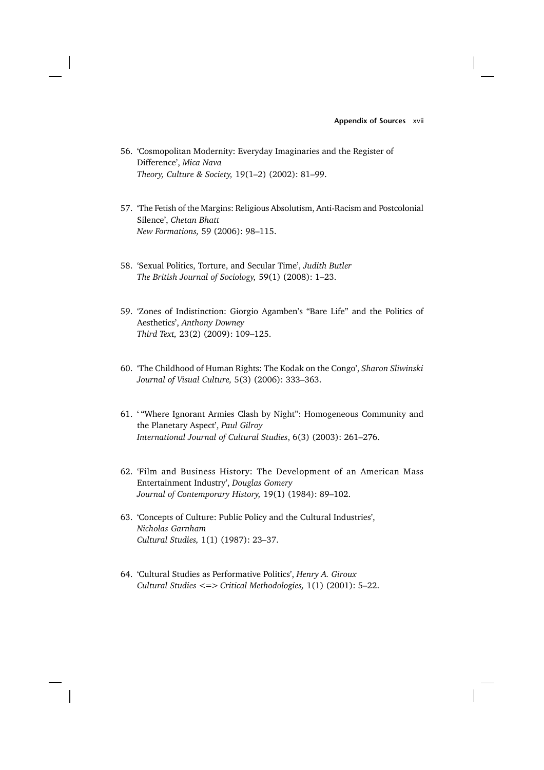- 56. 'Cosmopolitan Modernity: Everyday Imaginaries and the Register of Difference', *Mica Nava Theory, Culture & Society,* 19(1–2) (2002): 81–99.
- 57. 'The Fetish of the Margins: Religious Absolutism, Anti-Racism and Postcolonial Silence', *Chetan Bhatt New Formations,* 59 (2006): 98–115.
- 58. 'Sexual Politics, Torture, and Secular Time', *Judith Butler The British Journal of Sociology,* 59(1) (2008): 1–23.
- 59. 'Zones of Indistinction: Giorgio Agamben's "Bare Life" and the Politics of Aesthetics', *Anthony Downey Third Text,* 23(2) (2009): 109–125.
- 60. 'The Childhood of Human Rights: The Kodak on the Congo', *Sharon Sliwinski Journal of Visual Culture,* 5(3) (2006): 333–363.
- 61. ' ''Where Ignorant Armies Clash by Night": Homogeneous Community and the Planetary Aspect', *Paul Gilroy International Journal of Cultural Studies*, 6(3) (2003): 261–276.
- 62. 'Film and Business History: The Development of an American Mass Entertainment Industry', *Douglas Gomery Journal of Contemporary History,* 19(1) (1984): 89–102.
- 63. 'Concepts of Culture: Public Policy and the Cultural Industries', *Nicholas Garnham Cultural Studies,* 1(1) (1987): 23–37.
- 64. 'Cultural Studies as Performative Politics', *Henry A. Giroux Cultural Studies <=> Critical Methodologies,* 1(1) (2001): 5–22.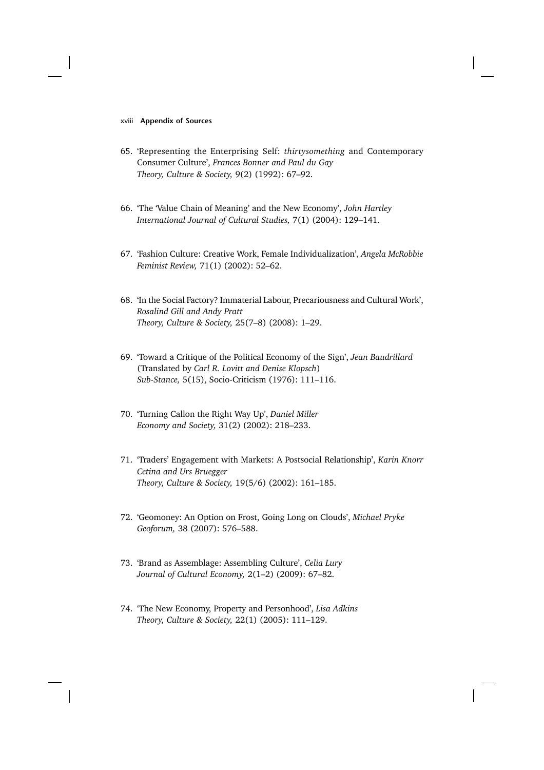#### xviii **Appendix of Sources**

- 65. 'Representing the Enterprising Self: *thirtysomething* and Contemporary Consumer Culture', *Frances Bonner and Paul du Gay Theory, Culture & Society,* 9(2) (1992): 67–92.
- 66. 'The 'Value Chain of Meaning' and the New Economy', *John Hartley International Journal of Cultural Studies,* 7(1) (2004): 129–141.
- 67. 'Fashion Culture: Creative Work, Female Individualization', *Angela McRobbie Feminist Review,* 71(1) (2002): 52–62.
- 68. 'In the Social Factory? Immaterial Labour, Precariousness and Cultural Work', *Rosalind Gill and Andy Pratt Theory, Culture & Society,* 25(7–8) (2008): 1–29.
- 69. 'Toward a Critique of the Political Economy of the Sign', *Jean Baudrillard* (Translated by *Carl R. Lovitt and Denise Klopsch*) *Sub-Stance,* 5(15), Socio-Criticism (1976): 111–116.
- 70. 'Turning Callon the Right Way Up', *Daniel Miller Economy and Society,* 31(2) (2002): 218–233.
- 71. 'Traders' Engagement with Markets: A Postsocial Relationship', *Karin Knorr Cetina and Urs Bruegger Theory, Culture & Society,* 19(5/6) (2002): 161–185.
- 72. 'Geomoney: An Option on Frost, Going Long on Clouds', *Michael Pryke Geoforum,* 38 (2007): 576–588.
- 73. 'Brand as Assemblage: Assembling Culture', *Celia Lury Journal of Cultural Economy,* 2(1–2) (2009): 67–82.
- 74. 'The New Economy, Property and Personhood', *Lisa Adkins Theory, Culture & Society,* 22(1) (2005): 111–129.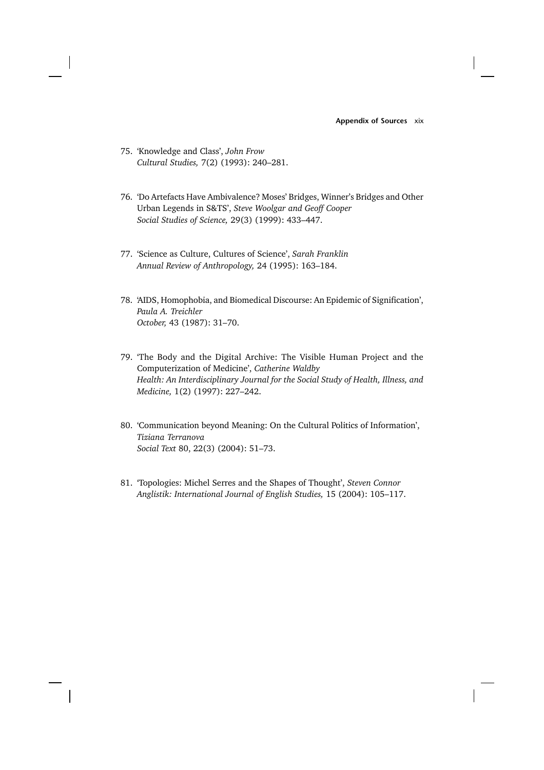- 75. 'Knowledge and Class', *John Frow Cultural Studies,* 7(2) (1993): 240–281.
- 76. 'Do Artefacts Have Ambivalence? Moses' Bridges, Winner's Bridges and Other Urban Legends in S&TS', *Steve Woolgar and Geoff Cooper Social Studies of Science,* 29(3) (1999): 433–447.
- 77. 'Science as Culture, Cultures of Science', *Sarah Franklin Annual Review of Anthropology,* 24 (1995): 163–184.
- 78. 'AIDS, Homophobia, and Biomedical Discourse: An Epidemic of Signification', *Paula A. Treichler October,* 43 (1987): 31–70.
- 79. 'The Body and the Digital Archive: The Visible Human Project and the Computerization of Medicine', *Catherine Waldby Health: An Interdisciplinary Journal for the Social Study of Health, Illness, and Medicine,* 1(2) (1997): 227–242.
- 80. 'Communication beyond Meaning: On the Cultural Politics of Information', *Tiziana Terranova Social Text* 80, 22(3) (2004): 51–73.
- 81. 'Topologies: Michel Serres and the Shapes of Thought', *Steven Connor Anglistik: International Journal of English Studies,* 15 (2004): 105–117.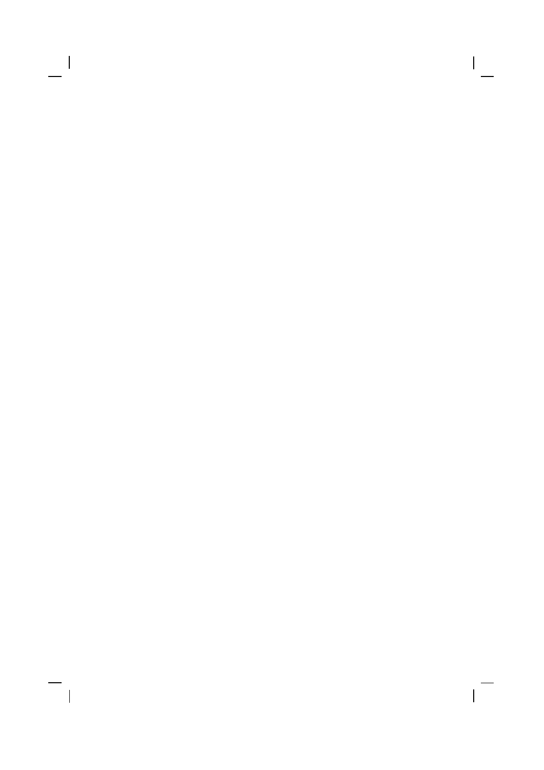$\frac{1}{2}$  $\mathbb{R}^+$  $\frac{1}{\sqrt{2}}$  $\frac{1}{\sqrt{2}}$  $\overline{\phantom{a}}$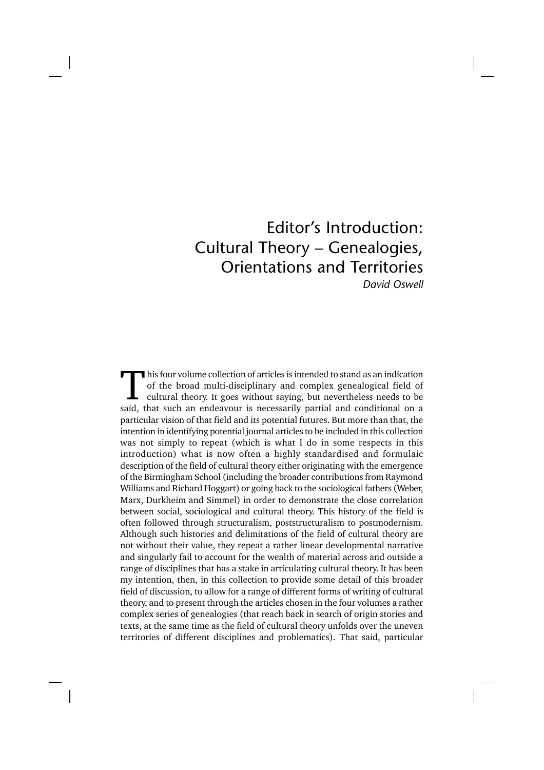# Editor's Introduction: Cultural Theory – Genealogies, Orientations and Territories *David Oswell*

**This four volume collection of articles is intended to stand as an indication** of the broad multi-disciplinary and complex genealogical field of cultural theory. It goes without saying, but nevertheless needs to be This four volume collection of articles is intended to stand as an indication of the broad multi-disciplinary and complex genealogical field of cultural theory. It goes without saying, but nevertheless needs to be said, th particular vision of that field and its potential futures. But more than that, the intention in identifying potential journal articles to be included in this collection was not simply to repeat (which is what I do in some respects in this introduction) what is now often a highly standardised and formulaic description of the field of cultural theory either originating with the emergence of the Birmingham School (including the broader contributions from Raymond Williams and Richard Hoggart) or going back to the sociological fathers (Weber, Marx, Durkheim and Simmel) in order to demonstrate the close correlation between social, sociological and cultural theory. This history of the field is often followed through structuralism, poststructuralism to postmodernism. Although such histories and delimitations of the field of cultural theory are not without their value, they repeat a rather linear developmental narrative and singularly fail to account for the wealth of material across and outside a range of disciplines that has a stake in articulating cultural theory. It has been my intention, then, in this collection to provide some detail of this broader field of discussion, to allow for a range of different forms of writing of cultural theory, and to present through the articles chosen in the four volumes a rather complex series of genealogies (that reach back in search of origin stories and texts, at the same time as the field of cultural theory unfolds over the uneven territories of different disciplines and problematics). That said, particular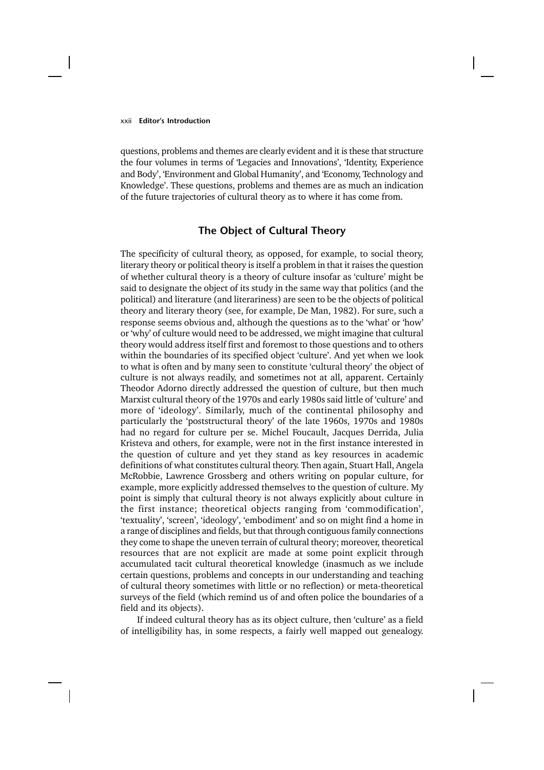#### xxii **Editor's Introduction**

questions, problems and themes are clearly evident and it is these that structure the four volumes in terms of 'Legacies and Innovations', 'Identity, Experience and Body', 'Environment and Global Humanity', and 'Economy, Technology and Knowledge'. These questions, problems and themes are as much an indication of the future trajectories of cultural theory as to where it has come from.

# **The Object of Cultural Theory**

The specificity of cultural theory, as opposed, for example, to social theory, literary theory or political theory is itself a problem in that it raises the question of whether cultural theory is a theory of culture insofar as 'culture' might be said to designate the object of its study in the same way that politics (and the political) and literature (and literariness) are seen to be the objects of political theory and literary theory (see, for example, De Man, 1982). For sure, such a response seems obvious and, although the questions as to the 'what' or 'how' or 'why' of culture would need to be addressed, we might imagine that cultural theory would address itself first and foremost to those questions and to others within the boundaries of its specified object 'culture'. And yet when we look to what is often and by many seen to constitute 'cultural theory' the object of culture is not always readily, and sometimes not at all, apparent. Certainly Theodor Adorno directly addressed the question of culture, but then much Marxist cultural theory of the 1970s and early 1980s said little of 'culture' and more of 'ideology'. Similarly, much of the continental philosophy and particularly the 'poststructural theory' of the late 1960s, 1970s and 1980s had no regard for culture per se. Michel Foucault, Jacques Derrida, Julia Kristeva and others, for example, were not in the first instance interested in the question of culture and yet they stand as key resources in academic definitions of what constitutes cultural theory. Then again, Stuart Hall, Angela McRobbie, Lawrence Grossberg and others writing on popular culture, for example, more explicitly addressed themselves to the question of culture. My point is simply that cultural theory is not always explicitly about culture in the first instance; theoretical objects ranging from 'commodification', 'textuality', 'screen', 'ideology', 'embodiment' and so on might find a home in a range of disciplines and fields, but that through contiguous family connections they come to shape the uneven terrain of cultural theory; moreover, theoretical resources that are not explicit are made at some point explicit through accumulated tacit cultural theoretical knowledge (inasmuch as we include certain questions, problems and concepts in our understanding and teaching of cultural theory sometimes with little or no reflection) or meta-theoretical surveys of the field (which remind us of and often police the boundaries of a field and its objects).

If indeed cultural theory has as its object culture, then 'culture' as a field of intelligibility has, in some respects, a fairly well mapped out genealogy.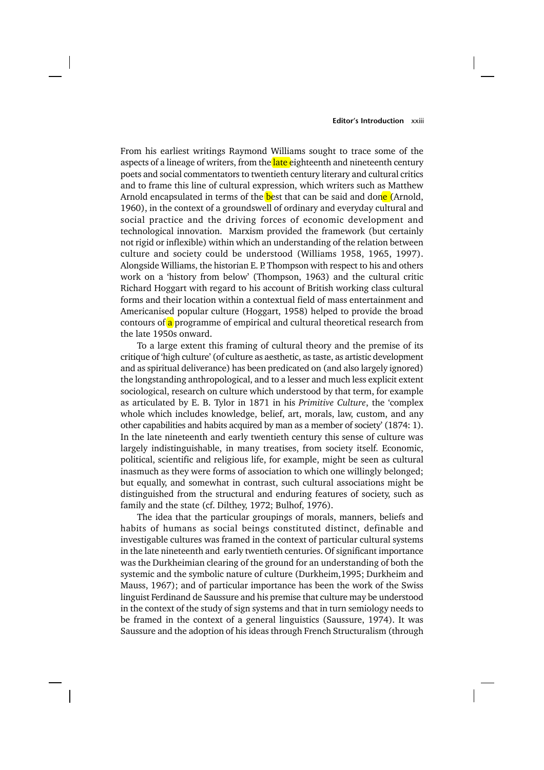From his earliest writings Raymond Williams sought to trace some of the aspects of a lineage of writers, from the late eighteenth and nineteenth century poets and social commentators to twentieth century literary and cultural critics and to frame this line of cultural expression, which writers such as Matthew Arnold encapsulated in terms of the **b**est that can be said and done (Arnold, 1960), in the context of a groundswell of ordinary and everyday cultural and social practice and the driving forces of economic development and technological innovation. Marxism provided the framework (but certainly not rigid or inflexible) within which an understanding of the relation between culture and society could be understood (Williams 1958, 1965, 1997). Alongside Williams, the historian E. P. Thompson with respect to his and others work on a 'history from below' (Thompson, 1963) and the cultural critic Richard Hoggart with regard to his account of British working class cultural forms and their location within a contextual field of mass entertainment and Americanised popular culture (Hoggart, 1958) helped to provide the broad contours of  $\alpha$  programme of empirical and cultural theoretical research from the late 1950s onward.

To a large extent this framing of cultural theory and the premise of its critique of 'high culture' (of culture as aesthetic, as taste, as artistic development and as spiritual deliverance) has been predicated on (and also largely ignored) the longstanding anthropological, and to a lesser and much less explicit extent sociological, research on culture which understood by that term, for example as articulated by E. B. Tylor in 1871 in his *Primitive Culture*, the 'complex whole which includes knowledge, belief, art, morals, law, custom, and any other capabilities and habits acquired by man as a member of society' (1874: 1). In the late nineteenth and early twentieth century this sense of culture was largely indistinguishable, in many treatises, from society itself. Economic, political, scientific and religious life, for example, might be seen as cultural inasmuch as they were forms of association to which one willingly belonged; but equally, and somewhat in contrast, such cultural associations might be distinguished from the structural and enduring features of society, such as family and the state (cf. Dilthey, 1972; Bulhof, 1976).

The idea that the particular groupings of morals, manners, beliefs and habits of humans as social beings constituted distinct, definable and investigable cultures was framed in the context of particular cultural systems in the late nineteenth and early twentieth centuries. Of significant importance was the Durkheimian clearing of the ground for an understanding of both the systemic and the symbolic nature of culture (Durkheim,1995; Durkheim and Mauss, 1967); and of particular importance has been the work of the Swiss linguist Ferdinand de Saussure and his premise that culture may be understood in the context of the study of sign systems and that in turn semiology needs to be framed in the context of a general linguistics (Saussure, 1974). It was Saussure and the adoption of his ideas through French Structuralism (through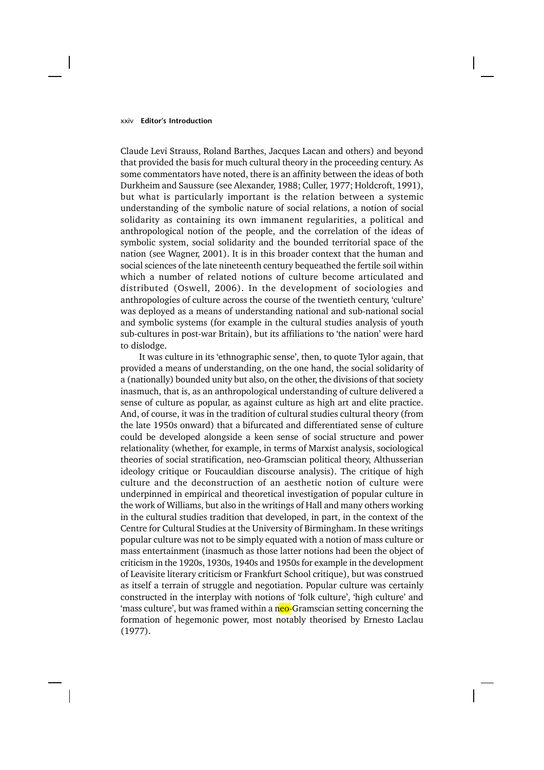#### xxiv **Editor's Introduction**

Claude Levi Strauss, Roland Barthes, Jacques Lacan and others) and beyond that provided the basis for much cultural theory in the proceeding century. As some commentators have noted, there is an affinity between the ideas of both Durkheim and Saussure (see Alexander, 1988; Culler, 1977; Holdcroft, 1991), but what is particularly important is the relation between a systemic understanding of the symbolic nature of social relations, a notion of social solidarity as containing its own immanent regularities, a political and anthropological notion of the people, and the correlation of the ideas of symbolic system, social solidarity and the bounded territorial space of the nation (see Wagner, 2001). It is in this broader context that the human and social sciences of the late nineteenth century bequeathed the fertile soil within which a number of related notions of culture become articulated and distributed (Oswell, 2006). In the development of sociologies and anthropologies of culture across the course of the twentieth century, 'culture' was deployed as a means of understanding national and sub-national social and symbolic systems (for example in the cultural studies analysis of youth sub-cultures in post-war Britain), but its affiliations to 'the nation' were hard to dislodge.

 It was culture in its 'ethnographic sense', then, to quote Tylor again, that provided a means of understanding, on the one hand, the social solidarity of a (nationally) bounded unity but also, on the other, the divisions of that society inasmuch, that is, as an anthropological understanding of culture delivered a sense of culture as popular, as against culture as high art and elite practice. And, of course, it was in the tradition of cultural studies cultural theory (from the late 1950s onward) that a bifurcated and differentiated sense of culture could be developed alongside a keen sense of social structure and power relationality (whether, for example, in terms of Marxist analysis, sociological theories of social stratification, neo-Gramscian political theory, Althusserian ideology critique or Foucauldian discourse analysis). The critique of high culture and the deconstruction of an aesthetic notion of culture were underpinned in empirical and theoretical investigation of popular culture in the work of Williams, but also in the writings of Hall and many others working in the cultural studies tradition that developed, in part, in the context of the Centre for Cultural Studies at the University of Birmingham. In these writings popular culture was not to be simply equated with a notion of mass culture or mass entertainment (inasmuch as those latter notions had been the object of criticism in the 1920s, 1930s, 1940s and 1950s for example in the development of Leavisite literary criticism or Frankfurt School critique), but was construed as itself a terrain of struggle and negotiation. Popular culture was certainly constructed in the interplay with notions of 'folk culture', 'high culture' and 'mass culture', but was framed within a neo-Gramscian setting concerning the formation of hegemonic power, most notably theorised by Ernesto Laclau (1977).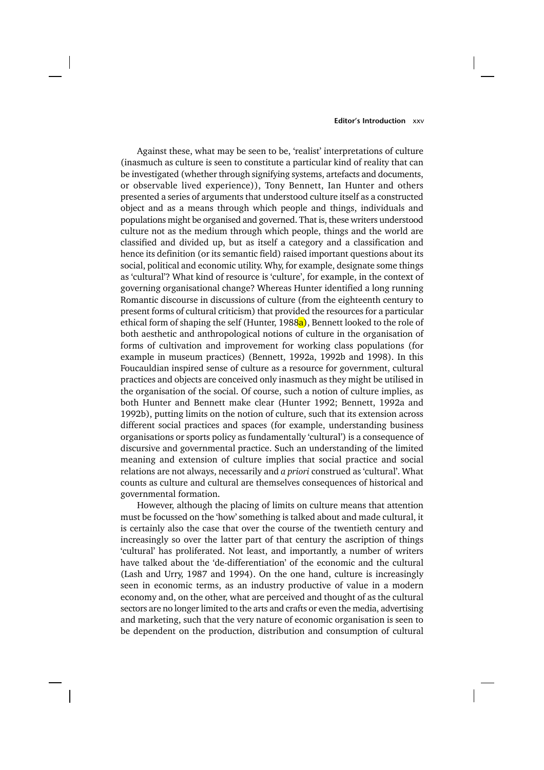#### **Editor's Introduction** xxv

Against these, what may be seen to be, 'realist' interpretations of culture (inasmuch as culture is seen to constitute a particular kind of reality that can be investigated (whether through signifying systems, artefacts and documents, or observable lived experience)), Tony Bennett, Ian Hunter and others presented a series of arguments that understood culture itself as a constructed object and as a means through which people and things, individuals and populations might be organised and governed. That is, these writers understood culture not as the medium through which people, things and the world are classified and divided up, but as itself a category and a classification and hence its definition (or its semantic field) raised important questions about its social, political and economic utility. Why, for example, designate some things as 'cultural'? What kind of resource is 'culture', for example, in the context of governing organisational change? Whereas Hunter identified a long running Romantic discourse in discussions of culture (from the eighteenth century to present forms of cultural criticism) that provided the resources for a particular ethical form of shaping the self (Hunter, 1988a), Bennett looked to the role of both aesthetic and anthropological notions of culture in the organisation of forms of cultivation and improvement for working class populations (for example in museum practices) (Bennett, 1992a, 1992b and 1998). In this Foucauldian inspired sense of culture as a resource for government, cultural practices and objects are conceived only inasmuch as they might be utilised in the organisation of the social. Of course, such a notion of culture implies, as both Hunter and Bennett make clear (Hunter 1992; Bennett, 1992a and 1992b), putting limits on the notion of culture, such that its extension across different social practices and spaces (for example, understanding business organisations or sports policy as fundamentally 'cultural') is a consequence of discursive and governmental practice. Such an understanding of the limited meaning and extension of culture implies that social practice and social relations are not always, necessarily and *a priori* construed as 'cultural'. What counts as culture and cultural are themselves consequences of historical and governmental formation.

However, although the placing of limits on culture means that attention must be focussed on the 'how' something is talked about and made cultural, it is certainly also the case that over the course of the twentieth century and increasingly so over the latter part of that century the ascription of things 'cultural' has proliferated. Not least, and importantly, a number of writers have talked about the 'de-differentiation' of the economic and the cultural (Lash and Urry, 1987 and 1994). On the one hand, culture is increasingly seen in economic terms, as an industry productive of value in a modern economy and, on the other, what are perceived and thought of as the cultural sectors are no longer limited to the arts and crafts or even the media, advertising and marketing, such that the very nature of economic organisation is seen to be dependent on the production, distribution and consumption of cultural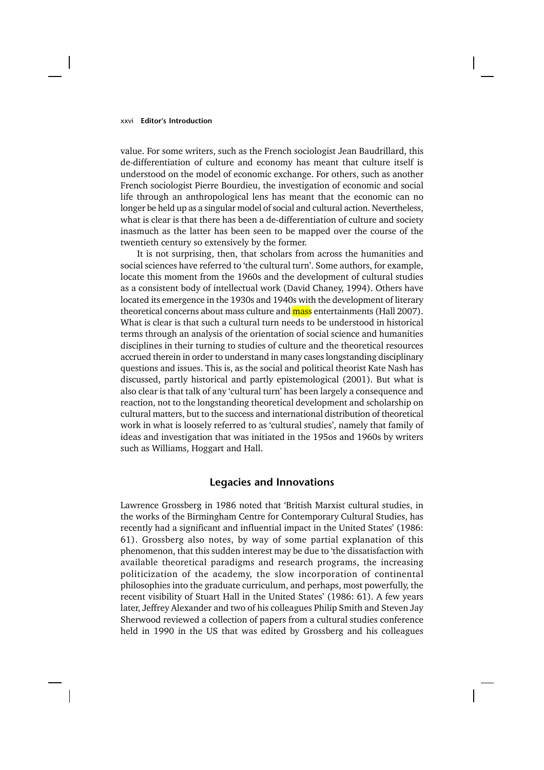#### xxvi **Editor's Introduction**

value. For some writers, such as the French sociologist Jean Baudrillard, this de-differentiation of culture and economy has meant that culture itself is understood on the model of economic exchange. For others, such as another French sociologist Pierre Bourdieu, the investigation of economic and social life through an anthropological lens has meant that the economic can no longer be held up as a singular model of social and cultural action. Nevertheless, what is clear is that there has been a de-differentiation of culture and society inasmuch as the latter has been seen to be mapped over the course of the twentieth century so extensively by the former.

It is not surprising, then, that scholars from across the humanities and social sciences have referred to 'the cultural turn'. Some authors, for example, locate this moment from the 1960s and the development of cultural studies as a consistent body of intellectual work (David Chaney, 1994). Others have located its emergence in the 1930s and 1940s with the development of literary theoretical concerns about mass culture and mass entertainments (Hall 2007). What is clear is that such a cultural turn needs to be understood in historical terms through an analysis of the orientation of social science and humanities disciplines in their turning to studies of culture and the theoretical resources accrued therein in order to understand in many cases longstanding disciplinary questions and issues. This is, as the social and political theorist Kate Nash has discussed, partly historical and partly epistemological (2001). But what is also clear is that talk of any 'cultural turn' has been largely a consequence and reaction, not to the longstanding theoretical development and scholarship on cultural matters, but to the success and international distribution of theoretical work in what is loosely referred to as 'cultural studies', namely that family of ideas and investigation that was initiated in the 195os and 1960s by writers such as Williams, Hoggart and Hall.

### **Legacies and Innovations**

Lawrence Grossberg in 1986 noted that 'British Marxist cultural studies, in the works of the Birmingham Centre for Contemporary Cultural Studies, has recently had a significant and influential impact in the United States' (1986: 61). Grossberg also notes, by way of some partial explanation of this phenomenon, that this sudden interest may be due to 'the dissatisfaction with available theoretical paradigms and research programs, the increasing politicization of the academy, the slow incorporation of continental philosophies into the graduate curriculum, and perhaps, most powerfully, the recent visibility of Stuart Hall in the United States' (1986: 61). A few years later, Jeffrey Alexander and two of his colleagues Philip Smith and Steven Jay Sherwood reviewed a collection of papers from a cultural studies conference held in 1990 in the US that was edited by Grossberg and his colleagues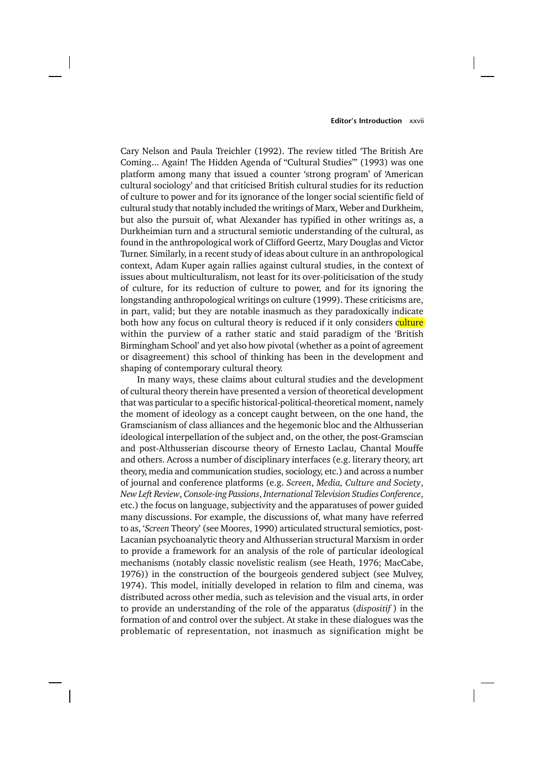#### **Editor's Introduction** xxvii

Cary Nelson and Paula Treichler (1992). The review titled 'The British Are Coming... Again! The Hidden Agenda of "Cultural Studies"' (1993) was one platform among many that issued a counter 'strong program' of 'American cultural sociology' and that criticised British cultural studies for its reduction of culture to power and for its ignorance of the longer social scientific field of cultural study that notably included the writings of Marx, Weber and Durkheim, but also the pursuit of, what Alexander has typified in other writings as, a Durkheimian turn and a structural semiotic understanding of the cultural, as found in the anthropological work of Clifford Geertz, Mary Douglas and Victor Turner. Similarly, in a recent study of ideas about culture in an anthropological context, Adam Kuper again rallies against cultural studies, in the context of issues about multiculturalism, not least for its over-politicisation of the study of culture, for its reduction of culture to power, and for its ignoring the longstanding anthropological writings on culture (1999). These criticisms are, in part, valid; but they are notable inasmuch as they paradoxically indicate both how any focus on cultural theory is reduced if it only considers culture within the purview of a rather static and staid paradigm of the 'British Birmingham School' and yet also how pivotal (whether as a point of agreement or disagreement) this school of thinking has been in the development and shaping of contemporary cultural theory.

In many ways, these claims about cultural studies and the development of cultural theory therein have presented a version of theoretical development that was particular to a specific historical-political-theoretical moment, namely the moment of ideology as a concept caught between, on the one hand, the Gramscianism of class alliances and the hegemonic bloc and the Althusserian ideological interpellation of the subject and, on the other, the post-Gramscian and post-Althusserian discourse theory of Ernesto Laclau, Chantal Mouffe and others. Across a number of disciplinary interfaces (e.g. literary theory, art theory, media and communication studies, sociology, etc.) and across a number of journal and conference platforms (e.g. *Screen*, *Media, Culture and Society*, *New Left Review*, *Console-ing Passions*, *International Television Studies Conference*, etc.) the focus on language, subjectivity and the apparatuses of power guided many discussions. For example, the discussions of, what many have referred to as, '*Screen* Theory' (see Moores, 1990) articulated structural semiotics, post-Lacanian psychoanalytic theory and Althusserian structural Marxism in order to provide a framework for an analysis of the role of particular ideological mechanisms (notably classic novelistic realism (see Heath, 1976; MacCabe, 1976)) in the construction of the bourgeois gendered subject (see Mulvey, 1974). This model, initially developed in relation to film and cinema, was distributed across other media, such as television and the visual arts, in order to provide an understanding of the role of the apparatus (*dispositif* ) in the formation of and control over the subject. At stake in these dialogues was the problematic of representation, not inasmuch as signification might be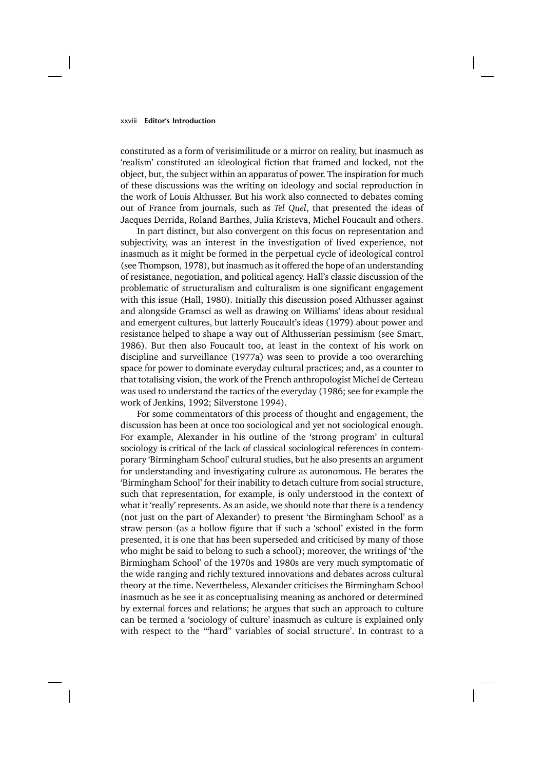#### xxviii **Editor's Introduction**

constituted as a form of verisimilitude or a mirror on reality, but inasmuch as 'realism' constituted an ideological fiction that framed and locked, not the object, but, the subject within an apparatus of power. The inspiration for much of these discussions was the writing on ideology and social reproduction in the work of Louis Althusser. But his work also connected to debates coming out of France from journals, such as *Tel Quel*, that presented the ideas of Jacques Derrida, Roland Barthes, Julia Kristeva, Michel Foucault and others.

In part distinct, but also convergent on this focus on representation and subjectivity, was an interest in the investigation of lived experience, not inasmuch as it might be formed in the perpetual cycle of ideological control (see Thompson, 1978), but inasmuch as it offered the hope of an understanding of resistance, negotiation, and political agency. Hall's classic discussion of the problematic of structuralism and culturalism is one significant engagement with this issue (Hall, 1980). Initially this discussion posed Althusser against and alongside Gramsci as well as drawing on Williams' ideas about residual and emergent cultures, but latterly Foucault's ideas (1979) about power and resistance helped to shape a way out of Althusserian pessimism (see Smart, 1986). But then also Foucault too, at least in the context of his work on discipline and surveillance (1977a) was seen to provide a too overarching space for power to dominate everyday cultural practices; and, as a counter to that totalising vision, the work of the French anthropologist Michel de Certeau was used to understand the tactics of the everyday (1986; see for example the work of Jenkins, 1992; Silverstone 1994).

For some commentators of this process of thought and engagement, the discussion has been at once too sociological and yet not sociological enough. For example, Alexander in his outline of the 'strong program' in cultural sociology is critical of the lack of classical sociological references in contemporary 'Birmingham School' cultural studies, but he also presents an argument for understanding and investigating culture as autonomous. He berates the 'Birmingham School' for their inability to detach culture from social structure, such that representation, for example, is only understood in the context of what it 'really' represents. As an aside, we should note that there is a tendency (not just on the part of Alexander) to present 'the Birmingham School' as a straw person (as a hollow figure that if such a 'school' existed in the form presented, it is one that has been superseded and criticised by many of those who might be said to belong to such a school); moreover, the writings of 'the Birmingham School' of the 1970s and 1980s are very much symptomatic of the wide ranging and richly textured innovations and debates across cultural theory at the time. Nevertheless, Alexander criticises the Birmingham School inasmuch as he see it as conceptualising meaning as anchored or determined by external forces and relations; he argues that such an approach to culture can be termed a 'sociology of culture' inasmuch as culture is explained only with respect to the '"hard" variables of social structure'. In contrast to a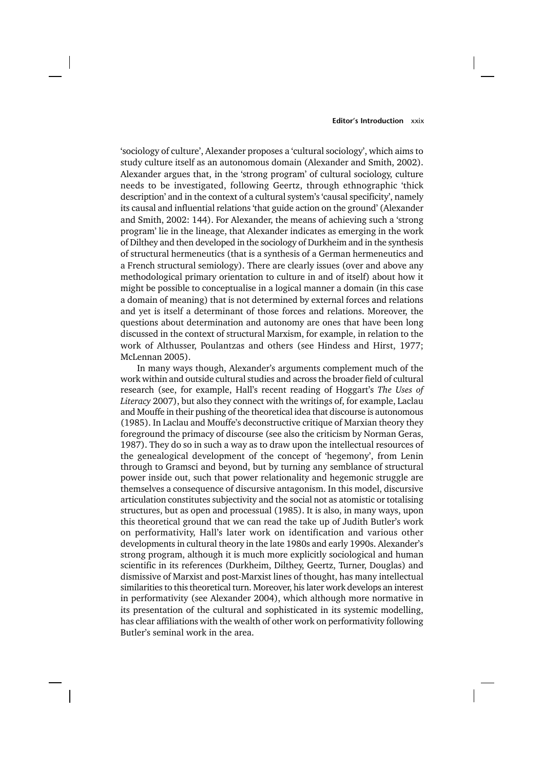'sociology of culture', Alexander proposes a 'cultural sociology', which aims to study culture itself as an autonomous domain (Alexander and Smith, 2002). Alexander argues that, in the 'strong program' of cultural sociology, culture needs to be investigated, following Geertz, through ethnographic 'thick description' and in the context of a cultural system's 'causal specificity', namely its causal and influential relations 'that guide action on the ground' (Alexander and Smith, 2002: 144). For Alexander, the means of achieving such a 'strong program' lie in the lineage, that Alexander indicates as emerging in the work of Dilthey and then developed in the sociology of Durkheim and in the synthesis of structural hermeneutics (that is a synthesis of a German hermeneutics and a French structural semiology). There are clearly issues (over and above any methodological primary orientation to culture in and of itself) about how it might be possible to conceptualise in a logical manner a domain (in this case a domain of meaning) that is not determined by external forces and relations and yet is itself a determinant of those forces and relations. Moreover, the questions about determination and autonomy are ones that have been long discussed in the context of structural Marxism, for example, in relation to the work of Althusser, Poulantzas and others (see Hindess and Hirst, 1977; McLennan 2005).

In many ways though, Alexander's arguments complement much of the work within and outside cultural studies and across the broader field of cultural research (see, for example, Hall's recent reading of Hoggart's *The Uses of Literacy* 2007), but also they connect with the writings of, for example, Laclau and Mouffe in their pushing of the theoretical idea that discourse is autonomous (1985). In Laclau and Mouffe's deconstructive critique of Marxian theory they foreground the primacy of discourse (see also the criticism by Norman Geras, 1987). They do so in such a way as to draw upon the intellectual resources of the genealogical development of the concept of 'hegemony', from Lenin through to Gramsci and beyond, but by turning any semblance of structural power inside out, such that power relationality and hegemonic struggle are themselves a consequence of discursive antagonism. In this model, discursive articulation constitutes subjectivity and the social not as atomistic or totalising structures, but as open and processual (1985). It is also, in many ways, upon this theoretical ground that we can read the take up of Judith Butler's work on performativity, Hall's later work on identification and various other developments in cultural theory in the late 1980s and early 1990s. Alexander's strong program, although it is much more explicitly sociological and human scientific in its references (Durkheim, Dilthey, Geertz, Turner, Douglas) and dismissive of Marxist and post-Marxist lines of thought, has many intellectual similarities to this theoretical turn. Moreover, his later work develops an interest in performativity (see Alexander 2004), which although more normative in its presentation of the cultural and sophisticated in its systemic modelling, has clear affiliations with the wealth of other work on performativity following Butler's seminal work in the area.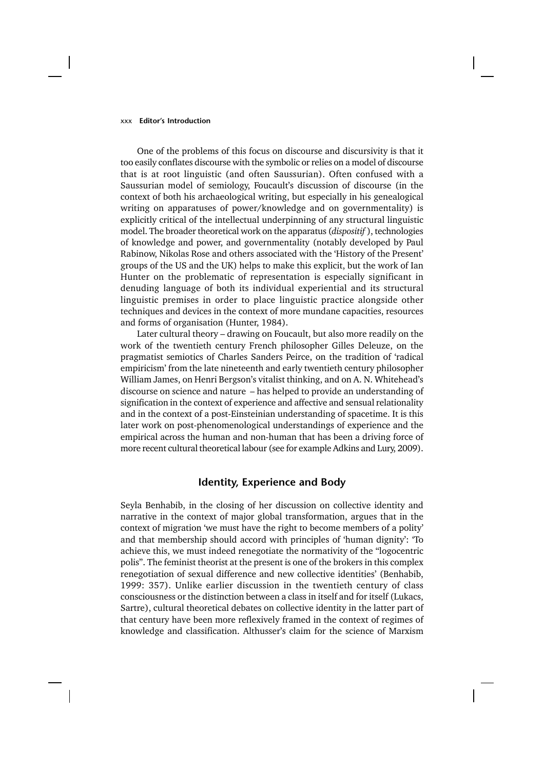#### xxx **Editor's Introduction**

One of the problems of this focus on discourse and discursivity is that it too easily conflates discourse with the symbolic or relies on a model of discourse that is at root linguistic (and often Saussurian). Often confused with a Saussurian model of semiology, Foucault's discussion of discourse (in the context of both his archaeological writing, but especially in his genealogical writing on apparatuses of power/knowledge and on governmentality) is explicitly critical of the intellectual underpinning of any structural linguistic model. The broader theoretical work on the apparatus (*dispositif* ), technologies of knowledge and power, and governmentality (notably developed by Paul Rabinow, Nikolas Rose and others associated with the 'History of the Present' groups of the US and the UK) helps to make this explicit, but the work of Ian Hunter on the problematic of representation is especially significant in denuding language of both its individual experiential and its structural linguistic premises in order to place linguistic practice alongside other techniques and devices in the context of more mundane capacities, resources and forms of organisation (Hunter, 1984).

Later cultural theory – drawing on Foucault, but also more readily on the work of the twentieth century French philosopher Gilles Deleuze, on the pragmatist semiotics of Charles Sanders Peirce, on the tradition of 'radical empiricism' from the late nineteenth and early twentieth century philosopher William James, on Henri Bergson's vitalist thinking, and on A. N. Whitehead's discourse on science and nature – has helped to provide an understanding of signification in the context of experience and affective and sensual relationality and in the context of a post-Einsteinian understanding of spacetime. It is this later work on post-phenomenological understandings of experience and the empirical across the human and non-human that has been a driving force of more recent cultural theoretical labour (see for example Adkins and Lury, 2009).

# **Identity, Experience and Body**

Seyla Benhabib, in the closing of her discussion on collective identity and narrative in the context of major global transformation, argues that in the context of migration 'we must have the right to become members of a polity' and that membership should accord with principles of 'human dignity': 'To achieve this, we must indeed renegotiate the normativity of the "logocentric polis". The feminist theorist at the present is one of the brokers in this complex renegotiation of sexual difference and new collective identities' (Benhabib, 1999: 357). Unlike earlier discussion in the twentieth century of class consciousness or the distinction between a class in itself and for itself (Lukacs, Sartre), cultural theoretical debates on collective identity in the latter part of that century have been more reflexively framed in the context of regimes of knowledge and classification. Althusser's claim for the science of Marxism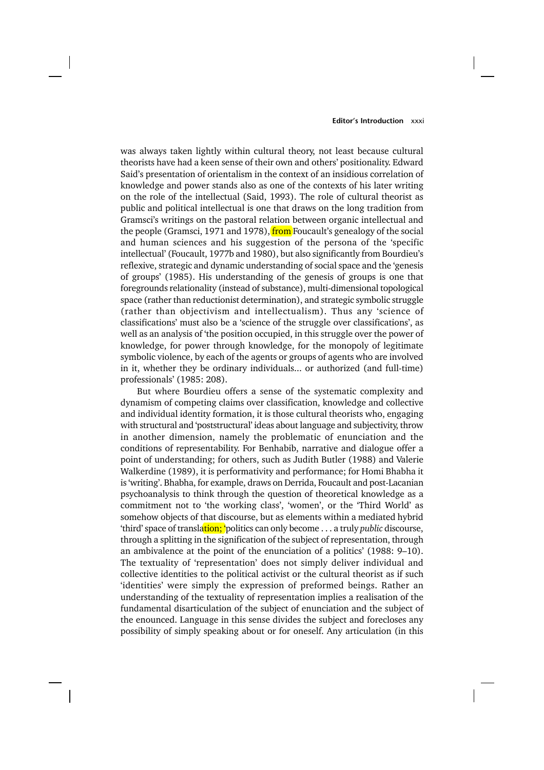was always taken lightly within cultural theory, not least because cultural theorists have had a keen sense of their own and others' positionality. Edward Said's presentation of orientalism in the context of an insidious correlation of knowledge and power stands also as one of the contexts of his later writing on the role of the intellectual (Said, 1993). The role of cultural theorist as public and political intellectual is one that draws on the long tradition from Gramsci's writings on the pastoral relation between organic intellectual and the people (Gramsci, 1971 and 1978), from Foucault's genealogy of the social and human sciences and his suggestion of the persona of the 'specific intellectual' (Foucault, 1977b and 1980), but also significantly from Bourdieu's reflexive, strategic and dynamic understanding of social space and the 'genesis of groups' (1985). His understanding of the genesis of groups is one that foregrounds relationality (instead of substance), multi-dimensional topological space (rather than reductionist determination), and strategic symbolic struggle (rather than objectivism and intellectualism). Thus any 'science of classifications' must also be a 'science of the struggle over classifications', as well as an analysis of 'the position occupied, in this struggle over the power of knowledge, for power through knowledge, for the monopoly of legitimate symbolic violence, by each of the agents or groups of agents who are involved in it, whether they be ordinary individuals... or authorized (and full-time) professionals' (1985: 208).

But where Bourdieu offers a sense of the systematic complexity and dynamism of competing claims over classification, knowledge and collective and individual identity formation, it is those cultural theorists who, engaging with structural and 'poststructural' ideas about language and subjectivity, throw in another dimension, namely the problematic of enunciation and the conditions of representability. For Benhabib, narrative and dialogue offer a point of understanding; for others, such as Judith Butler (1988) and Valerie Walkerdine (1989), it is performativity and performance; for Homi Bhabha it is 'writing'. Bhabha, for example, draws on Derrida, Foucault and post-Lacanian psychoanalysis to think through the question of theoretical knowledge as a commitment not to 'the working class', 'women', or the 'Third World' as somehow objects of that discourse, but as elements within a mediated hybrid 'third' space of translation; 'politics can only become . . . a truly *public* discourse, through a splitting in the signification of the subject of representation, through an ambivalence at the point of the enunciation of a politics' (1988: 9–10). The textuality of 'representation' does not simply deliver individual and collective identities to the political activist or the cultural theorist as if such 'identities' were simply the expression of preformed beings. Rather an understanding of the textuality of representation implies a realisation of the fundamental disarticulation of the subject of enunciation and the subject of the enounced. Language in this sense divides the subject and forecloses any possibility of simply speaking about or for oneself. Any articulation (in this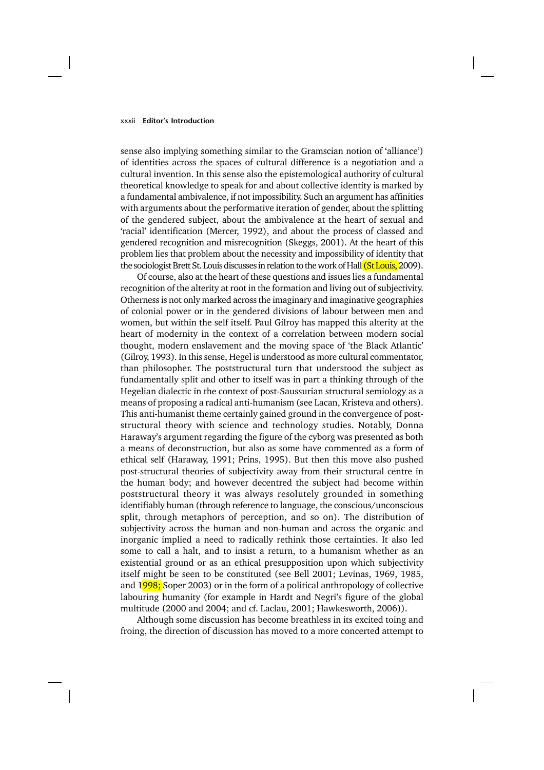#### xxxii **Editor's Introduction**

sense also implying something similar to the Gramscian notion of 'alliance') of identities across the spaces of cultural difference is a negotiation and a cultural invention. In this sense also the epistemological authority of cultural theoretical knowledge to speak for and about collective identity is marked by a fundamental ambivalence, if not impossibility. Such an argument has affinities with arguments about the performative iteration of gender, about the splitting of the gendered subject, about the ambivalence at the heart of sexual and 'racial' identification (Mercer, 1992), and about the process of classed and gendered recognition and misrecognition (Skeggs, 2001). At the heart of this problem lies that problem about the necessity and impossibility of identity that the sociologist Brett St. Louis discusses in relation to the work of Hall (St Louis, 2009).

Of course, also at the heart of these questions and issues lies a fundamental recognition of the alterity at root in the formation and living out of subjectivity. Otherness is not only marked across the imaginary and imaginative geographies of colonial power or in the gendered divisions of labour between men and women, but within the self itself. Paul Gilroy has mapped this alterity at the heart of modernity in the context of a correlation between modern social thought, modern enslavement and the moving space of 'the Black Atlantic' (Gilroy, 1993). In this sense, Hegel is understood as more cultural commentator, than philosopher. The poststructural turn that understood the subject as fundamentally split and other to itself was in part a thinking through of the Hegelian dialectic in the context of post-Saussurian structural semiology as a means of proposing a radical anti-humanism (see Lacan, Kristeva and others). This anti-humanist theme certainly gained ground in the convergence of poststructural theory with science and technology studies. Notably, Donna Haraway's argument regarding the figure of the cyborg was presented as both a means of deconstruction, but also as some have commented as a form of ethical self (Haraway, 1991; Prins, 1995). But then this move also pushed post-structural theories of subjectivity away from their structural centre in the human body; and however decentred the subject had become within poststructural theory it was always resolutely grounded in something identifiably human (through reference to language, the conscious/unconscious split, through metaphors of perception, and so on). The distribution of subjectivity across the human and non-human and across the organic and inorganic implied a need to radically rethink those certainties. It also led some to call a halt, and to insist a return, to a humanism whether as an existential ground or as an ethical presupposition upon which subjectivity itself might be seen to be constituted (see Bell 2001; Levinas, 1969, 1985, and 1998; Soper 2003) or in the form of a political anthropology of collective labouring humanity (for example in Hardt and Negri's figure of the global multitude (2000 and 2004; and cf. Laclau, 2001; Hawkesworth, 2006)).

Although some discussion has become breathless in its excited toing and froing, the direction of discussion has moved to a more concerted attempt to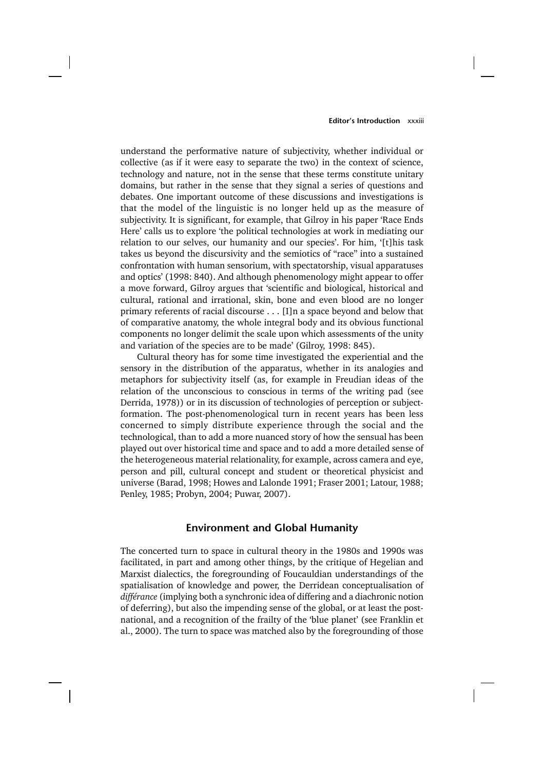understand the performative nature of subjectivity, whether individual or collective (as if it were easy to separate the two) in the context of science, technology and nature, not in the sense that these terms constitute unitary domains, but rather in the sense that they signal a series of questions and debates. One important outcome of these discussions and investigations is that the model of the linguistic is no longer held up as the measure of subjectivity. It is significant, for example, that Gilroy in his paper 'Race Ends Here' calls us to explore 'the political technologies at work in mediating our relation to our selves, our humanity and our species'. For him, '[t]his task takes us beyond the discursivity and the semiotics of "race" into a sustained confrontation with human sensorium, with spectatorship, visual apparatuses and optics' (1998: 840). And although phenomenology might appear to offer a move forward, Gilroy argues that 'scientific and biological, historical and cultural, rational and irrational, skin, bone and even blood are no longer primary referents of racial discourse . . . [I]n a space beyond and below that of comparative anatomy, the whole integral body and its obvious functional components no longer delimit the scale upon which assessments of the unity and variation of the species are to be made' (Gilroy, 1998: 845).

Cultural theory has for some time investigated the experiential and the sensory in the distribution of the apparatus, whether in its analogies and metaphors for subjectivity itself (as, for example in Freudian ideas of the relation of the unconscious to conscious in terms of the writing pad (see Derrida, 1978)) or in its discussion of technologies of perception or subjectformation. The post-phenomenological turn in recent years has been less concerned to simply distribute experience through the social and the technological, than to add a more nuanced story of how the sensual has been played out over historical time and space and to add a more detailed sense of the heterogeneous material relationality, for example, across camera and eye, person and pill, cultural concept and student or theoretical physicist and universe (Barad, 1998; Howes and Lalonde 1991; Fraser 2001; Latour, 1988; Penley, 1985; Probyn, 2004; Puwar, 2007).

# **Environment and Global Humanity**

The concerted turn to space in cultural theory in the 1980s and 1990s was facilitated, in part and among other things, by the critique of Hegelian and Marxist dialectics, the foregrounding of Foucauldian understandings of the spatialisation of knowledge and power, the Derridean conceptualisation of *différance* (implying both a synchronic idea of differing and a diachronic notion of deferring), but also the impending sense of the global, or at least the postnational, and a recognition of the frailty of the 'blue planet' (see Franklin et al., 2000). The turn to space was matched also by the foregrounding of those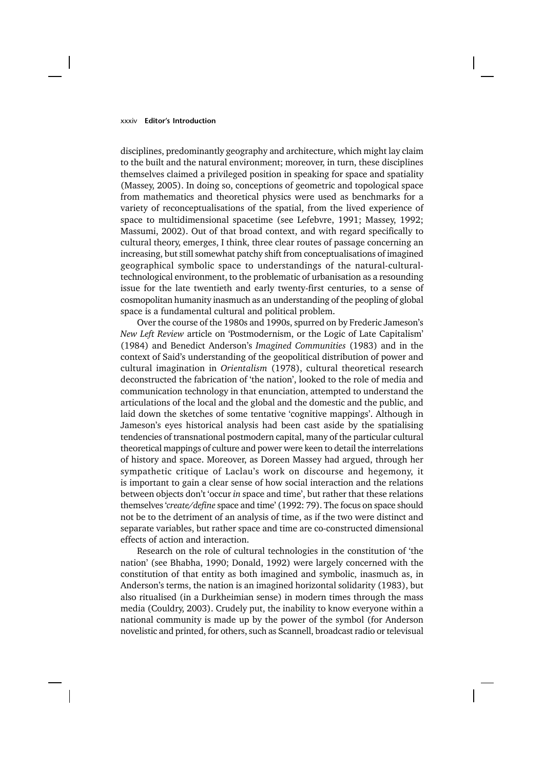#### xxxiv **Editor's Introduction**

disciplines, predominantly geography and architecture, which might lay claim to the built and the natural environment; moreover, in turn, these disciplines themselves claimed a privileged position in speaking for space and spatiality (Massey, 2005). In doing so, conceptions of geometric and topological space from mathematics and theoretical physics were used as benchmarks for a variety of reconceptualisations of the spatial, from the lived experience of space to multidimensional spacetime (see Lefebvre, 1991; Massey, 1992; Massumi, 2002). Out of that broad context, and with regard specifically to cultural theory, emerges, I think, three clear routes of passage concerning an increasing, but still somewhat patchy shift from conceptualisations of imagined geographical symbolic space to understandings of the natural-culturaltechnological environment, to the problematic of urbanisation as a resounding issue for the late twentieth and early twenty-first centuries, to a sense of cosmopolitan humanity inasmuch as an understanding of the peopling of global space is a fundamental cultural and political problem.

Over the course of the 1980s and 1990s, spurred on by Frederic Jameson's *New Left Review* article on 'Postmodernism, or the Logic of Late Capitalism' (1984) and Benedict Anderson's *Imagined Communities* (1983) and in the context of Said's understanding of the geopolitical distribution of power and cultural imagination in *Orientalism* (1978), cultural theoretical research deconstructed the fabrication of 'the nation', looked to the role of media and communication technology in that enunciation, attempted to understand the articulations of the local and the global and the domestic and the public, and laid down the sketches of some tentative 'cognitive mappings'. Although in Jameson's eyes historical analysis had been cast aside by the spatialising tendencies of transnational postmodern capital, many of the particular cultural theoretical mappings of culture and power were keen to detail the interrelations of history and space. Moreover, as Doreen Massey had argued, through her sympathetic critique of Laclau's work on discourse and hegemony, it is important to gain a clear sense of how social interaction and the relations between objects don't 'occur *in* space and time', but rather that these relations themselves '*create/define* space and time' (1992: 79). The focus on space should not be to the detriment of an analysis of time, as if the two were distinct and separate variables, but rather space and time are co-constructed dimensional effects of action and interaction.

Research on the role of cultural technologies in the constitution of 'the nation' (see Bhabha, 1990; Donald, 1992) were largely concerned with the constitution of that entity as both imagined and symbolic, inasmuch as, in Anderson's terms, the nation is an imagined horizontal solidarity (1983), but also ritualised (in a Durkheimian sense) in modern times through the mass media (Couldry, 2003). Crudely put, the inability to know everyone within a national community is made up by the power of the symbol (for Anderson novelistic and printed, for others, such as Scannell, broadcast radio or televisual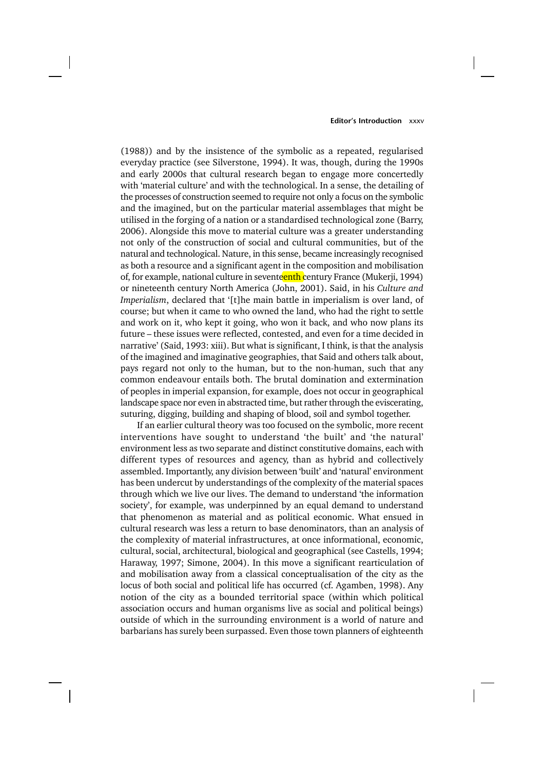#### **Editor's Introduction** xxxv

(1988)) and by the insistence of the symbolic as a repeated, regularised everyday practice (see Silverstone, 1994). It was, though, during the 1990s and early 2000s that cultural research began to engage more concertedly with 'material culture' and with the technological. In a sense, the detailing of the processes of construction seemed to require not only a focus on the symbolic and the imagined, but on the particular material assemblages that might be utilised in the forging of a nation or a standardised technological zone (Barry, 2006). Alongside this move to material culture was a greater understanding not only of the construction of social and cultural communities, but of the natural and technological. Nature, in this sense, became increasingly recognised as both a resource and a significant agent in the composition and mobilisation of, for example, national culture in seventeenth century France (Mukerji, 1994) or nineteenth century North America (John, 2001). Said, in his *Culture and Imperialism*, declared that '[t]he main battle in imperialism is over land, of course; but when it came to who owned the land, who had the right to settle and work on it, who kept it going, who won it back, and who now plans its future – these issues were reflected, contested, and even for a time decided in narrative' (Said, 1993: xiii). But what is significant, I think, is that the analysis of the imagined and imaginative geographies, that Said and others talk about, pays regard not only to the human, but to the non-human, such that any common endeavour entails both. The brutal domination and extermination of peoples in imperial expansion, for example, does not occur in geographical landscape space nor even in abstracted time, but rather through the eviscerating, suturing, digging, building and shaping of blood, soil and symbol together.

If an earlier cultural theory was too focused on the symbolic, more recent interventions have sought to understand 'the built' and 'the natural' environment less as two separate and distinct constitutive domains, each with different types of resources and agency, than as hybrid and collectively assembled. Importantly, any division between 'built' and 'natural' environment has been undercut by understandings of the complexity of the material spaces through which we live our lives. The demand to understand 'the information society', for example, was underpinned by an equal demand to understand that phenomenon as material and as political economic. What ensued in cultural research was less a return to base denominators, than an analysis of the complexity of material infrastructures, at once informational, economic, cultural, social, architectural, biological and geographical (see Castells, 1994; Haraway, 1997; Simone, 2004). In this move a significant rearticulation of and mobilisation away from a classical conceptualisation of the city as the locus of both social and political life has occurred (cf. Agamben, 1998). Any notion of the city as a bounded territorial space (within which political association occurs and human organisms live as social and political beings) outside of which in the surrounding environment is a world of nature and barbarians has surely been surpassed. Even those town planners of eighteenth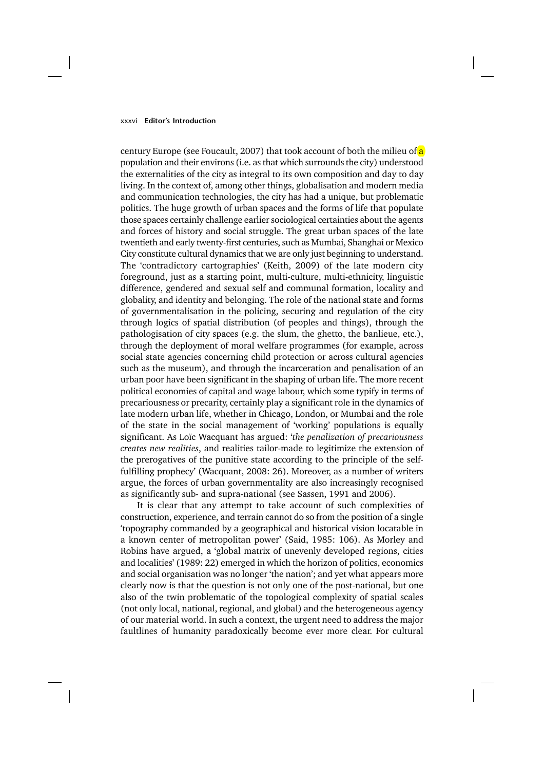#### xxxvi **Editor's Introduction**

century Europe (see Foucault, 2007) that took account of both the milieu of a population and their environs (i.e. as that which surrounds the city) understood the externalities of the city as integral to its own composition and day to day living. In the context of, among other things, globalisation and modern media and communication technologies, the city has had a unique, but problematic politics. The huge growth of urban spaces and the forms of life that populate those spaces certainly challenge earlier sociological certainties about the agents and forces of history and social struggle. The great urban spaces of the late twentieth and early twenty-first centuries, such as Mumbai, Shanghai or Mexico City constitute cultural dynamics that we are only just beginning to understand. The 'contradictory cartographies' (Keith, 2009) of the late modern city foreground, just as a starting point, multi-culture, multi-ethnicity, linguistic difference, gendered and sexual self and communal formation, locality and globality, and identity and belonging. The role of the national state and forms of governmentalisation in the policing, securing and regulation of the city through logics of spatial distribution (of peoples and things), through the pathologisation of city spaces (e.g. the slum, the ghetto, the banlieue, etc.), through the deployment of moral welfare programmes (for example, across social state agencies concerning child protection or across cultural agencies such as the museum), and through the incarceration and penalisation of an urban poor have been significant in the shaping of urban life. The more recent political economies of capital and wage labour, which some typify in terms of precariousness or precarity, certainly play a significant role in the dynamics of late modern urban life, whether in Chicago, London, or Mumbai and the role of the state in the social management of 'working' populations is equally significant. As Loïc Wacquant has argued: '*the penalization of precariousness creates new realities*, and realities tailor-made to legitimize the extension of the prerogatives of the punitive state according to the principle of the selffulfilling prophecy' (Wacquant, 2008: 26). Moreover, as a number of writers argue, the forces of urban governmentality are also increasingly recognised as significantly sub- and supra-national (see Sassen, 1991 and 2006).

It is clear that any attempt to take account of such complexities of construction, experience, and terrain cannot do so from the position of a single 'topography commanded by a geographical and historical vision locatable in a known center of metropolitan power' (Said, 1985: 106). As Morley and Robins have argued, a 'global matrix of unevenly developed regions, cities and localities' (1989: 22) emerged in which the horizon of politics, economics and social organisation was no longer 'the nation'; and yet what appears more clearly now is that the question is not only one of the post-national, but one also of the twin problematic of the topological complexity of spatial scales (not only local, national, regional, and global) and the heterogeneous agency of our material world. In such a context, the urgent need to address the major faultlines of humanity paradoxically become ever more clear. For cultural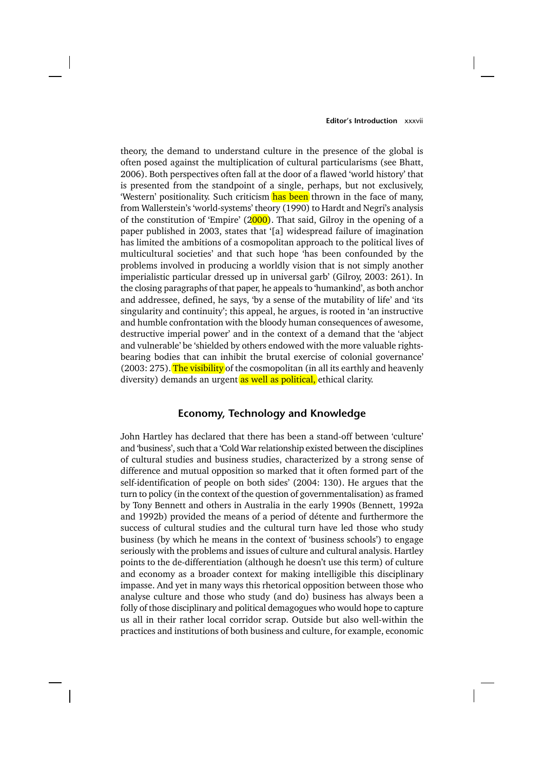#### **Editor's Introduction** xxxvii

theory, the demand to understand culture in the presence of the global is often posed against the multiplication of cultural particularisms (see Bhatt, 2006). Both perspectives often fall at the door of a flawed 'world history' that is presented from the standpoint of a single, perhaps, but not exclusively, 'Western' positionality. Such criticism has been thrown in the face of many, from Wallerstein's 'world-systems' theory (1990) to Hardt and Negri's analysis of the constitution of 'Empire'  $(2000)$ . That said, Gilroy in the opening of a paper published in 2003, states that '[a] widespread failure of imagination has limited the ambitions of a cosmopolitan approach to the political lives of multicultural societies' and that such hope 'has been confounded by the problems involved in producing a worldly vision that is not simply another imperialistic particular dressed up in universal garb' (Gilroy, 2003: 261). In the closing paragraphs of that paper, he appeals to 'humankind', as both anchor and addressee, defined, he says, 'by a sense of the mutability of life' and 'its singularity and continuity'; this appeal, he argues, is rooted in 'an instructive and humble confrontation with the bloody human consequences of awesome, destructive imperial power' and in the context of a demand that the 'abject and vulnerable' be 'shielded by others endowed with the more valuable rightsbearing bodies that can inhibit the brutal exercise of colonial governance' (2003: 275). The visibility of the cosmopolitan (in all its earthly and heavenly diversity) demands an urgent as well as political, ethical clarity.

### **Economy, Technology and Knowledge**

John Hartley has declared that there has been a stand-off between 'culture' and 'business', such that a 'Cold War relationship existed between the disciplines of cultural studies and business studies, characterized by a strong sense of difference and mutual opposition so marked that it often formed part of the self-identification of people on both sides' (2004: 130). He argues that the turn to policy (in the context of the question of governmentalisation) as framed by Tony Bennett and others in Australia in the early 1990s (Bennett, 1992a and 1992b) provided the means of a period of détente and furthermore the success of cultural studies and the cultural turn have led those who study business (by which he means in the context of 'business schools') to engage seriously with the problems and issues of culture and cultural analysis. Hartley points to the de-differentiation (although he doesn't use this term) of culture and economy as a broader context for making intelligible this disciplinary impasse. And yet in many ways this rhetorical opposition between those who analyse culture and those who study (and do) business has always been a folly of those disciplinary and political demagogues who would hope to capture us all in their rather local corridor scrap. Outside but also well-within the practices and institutions of both business and culture, for example, economic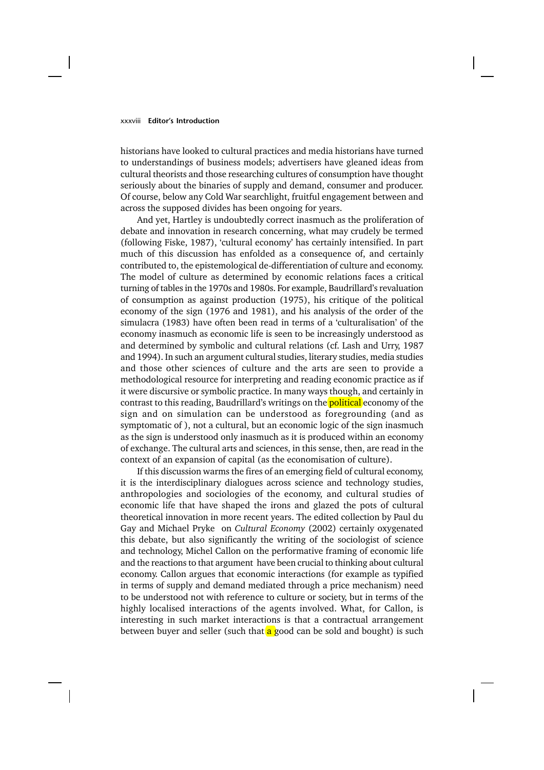#### xxxviii **Editor's Introduction**

historians have looked to cultural practices and media historians have turned to understandings of business models; advertisers have gleaned ideas from cultural theorists and those researching cultures of consumption have thought seriously about the binaries of supply and demand, consumer and producer. Of course, below any Cold War searchlight, fruitful engagement between and across the supposed divides has been ongoing for years.

And yet, Hartley is undoubtedly correct inasmuch as the proliferation of debate and innovation in research concerning, what may crudely be termed (following Fiske, 1987), 'cultural economy' has certainly intensified. In part much of this discussion has enfolded as a consequence of, and certainly contributed to, the epistemological de-differentiation of culture and economy. The model of culture as determined by economic relations faces a critical turning of tables in the 1970s and 1980s. For example, Baudrillard's revaluation of consumption as against production (1975), his critique of the political economy of the sign (1976 and 1981), and his analysis of the order of the simulacra (1983) have often been read in terms of a 'culturalisation' of the economy inasmuch as economic life is seen to be increasingly understood as and determined by symbolic and cultural relations (cf. Lash and Urry, 1987 and 1994). In such an argument cultural studies, literary studies, media studies and those other sciences of culture and the arts are seen to provide a methodological resource for interpreting and reading economic practice as if it were discursive or symbolic practice. In many ways though, and certainly in contrast to this reading, Baudrillard's writings on the **political** economy of the sign and on simulation can be understood as foregrounding (and as symptomatic of ), not a cultural, but an economic logic of the sign inasmuch as the sign is understood only inasmuch as it is produced within an economy of exchange. The cultural arts and sciences, in this sense, then, are read in the context of an expansion of capital (as the economisation of culture).

If this discussion warms the fires of an emerging field of cultural economy, it is the interdisciplinary dialogues across science and technology studies, anthropologies and sociologies of the economy, and cultural studies of economic life that have shaped the irons and glazed the pots of cultural theoretical innovation in more recent years. The edited collection by Paul du Gay and Michael Pryke on *Cultural Economy* (2002) certainly oxygenated this debate, but also significantly the writing of the sociologist of science and technology, Michel Callon on the performative framing of economic life and the reactions to that argument have been crucial to thinking about cultural economy. Callon argues that economic interactions (for example as typified in terms of supply and demand mediated through a price mechanism) need to be understood not with reference to culture or society, but in terms of the highly localised interactions of the agents involved. What, for Callon, is interesting in such market interactions is that a contractual arrangement between buyer and seller (such that a good can be sold and bought) is such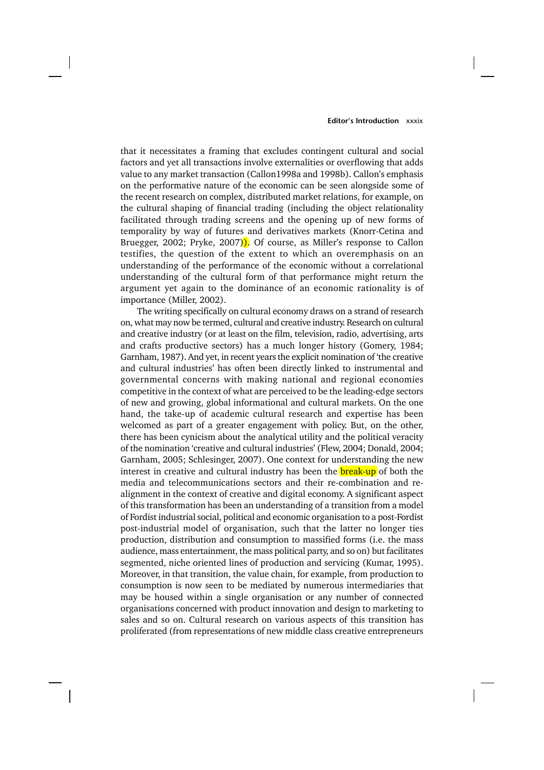#### **Editor's Introduction** xxxix

that it necessitates a framing that excludes contingent cultural and social factors and yet all transactions involve externalities or overflowing that adds value to any market transaction (Callon1998a and 1998b). Callon's emphasis on the performative nature of the economic can be seen alongside some of the recent research on complex, distributed market relations, for example, on the cultural shaping of financial trading (including the object relationality facilitated through trading screens and the opening up of new forms of temporality by way of futures and derivatives markets (Knorr-Cetina and Bruegger, 2002; Pryke, 2007). Of course, as Miller's response to Callon testifies, the question of the extent to which an overemphasis on an understanding of the performance of the economic without a correlational understanding of the cultural form of that performance might return the argument yet again to the dominance of an economic rationality is of importance (Miller, 2002).

The writing specifically on cultural economy draws on a strand of research on, what may now be termed, cultural and creative industry. Research on cultural and creative industry (or at least on the film, television, radio, advertising, arts and crafts productive sectors) has a much longer history (Gomery, 1984; Garnham, 1987). And yet, in recent years the explicit nomination of 'the creative and cultural industries' has often been directly linked to instrumental and governmental concerns with making national and regional economies competitive in the context of what are perceived to be the leading-edge sectors of new and growing, global informational and cultural markets. On the one hand, the take-up of academic cultural research and expertise has been welcomed as part of a greater engagement with policy. But, on the other, there has been cynicism about the analytical utility and the political veracity of the nomination 'creative and cultural industries' (Flew, 2004; Donald, 2004; Garnham, 2005; Schlesinger, 2007). One context for understanding the new interest in creative and cultural industry has been the **break-up** of both the media and telecommunications sectors and their re-combination and realignment in the context of creative and digital economy. A significant aspect of this transformation has been an understanding of a transition from a model of Fordist industrial social, political and economic organisation to a post-Fordist post-industrial model of organisation, such that the latter no longer ties production, distribution and consumption to massified forms (i.e. the mass audience, mass entertainment, the mass political party, and so on) but facilitates segmented, niche oriented lines of production and servicing (Kumar, 1995). Moreover, in that transition, the value chain, for example, from production to consumption is now seen to be mediated by numerous intermediaries that may be housed within a single organisation or any number of connected organisations concerned with product innovation and design to marketing to sales and so on. Cultural research on various aspects of this transition has proliferated (from representations of new middle class creative entrepreneurs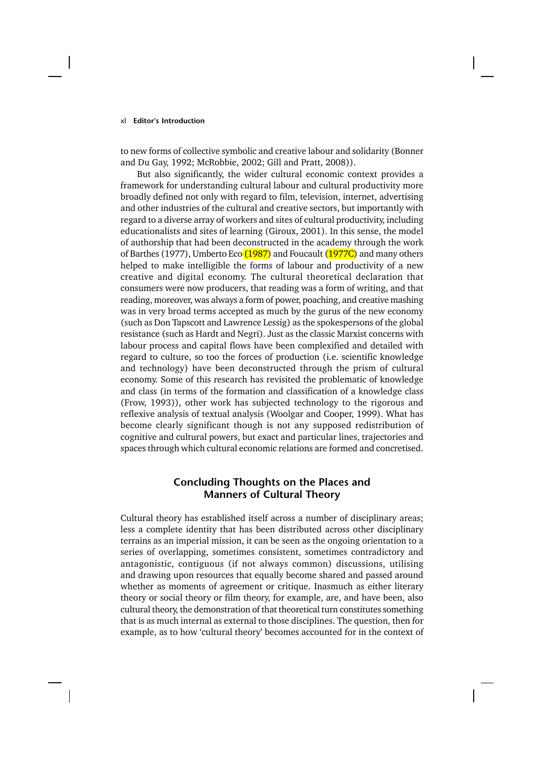#### xl **Editor's Introduction**

to new forms of collective symbolic and creative labour and solidarity (Bonner and Du Gay, 1992; McRobbie, 2002; Gill and Pratt, 2008)).

But also significantly, the wider cultural economic context provides a framework for understanding cultural labour and cultural productivity more broadly defined not only with regard to film, television, internet, advertising and other industries of the cultural and creative sectors, but importantly with regard to a diverse array of workers and sites of cultural productivity, including educationalists and sites of learning (Giroux, 2001). In this sense, the model of authorship that had been deconstructed in the academy through the work of Barthes (1977), Umberto Eco  $(1987)$  and Foucault  $(1977C)$  and many others helped to make intelligible the forms of labour and productivity of a new creative and digital economy. The cultural theoretical declaration that consumers were now producers, that reading was a form of writing, and that reading, moreover, was always a form of power, poaching, and creative mashing was in very broad terms accepted as much by the gurus of the new economy (such as Don Tapscott and Lawrence Lessig) as the spokespersons of the global resistance (such as Hardt and Negri). Just as the classic Marxist concerns with labour process and capital flows have been complexified and detailed with regard to culture, so too the forces of production (i.e. scientific knowledge and technology) have been deconstructed through the prism of cultural economy. Some of this research has revisited the problematic of knowledge and class (in terms of the formation and classification of a knowledge class (Frow, 1993)), other work has subjected technology to the rigorous and reflexive analysis of textual analysis (Woolgar and Cooper, 1999). What has become clearly significant though is not any supposed redistribution of cognitive and cultural powers, but exact and particular lines, trajectories and spaces through which cultural economic relations are formed and concretised.

# **Concluding Thoughts on the Places and Manners of Cultural Theory**

Cultural theory has established itself across a number of disciplinary areas; less a complete identity that has been distributed across other disciplinary terrains as an imperial mission, it can be seen as the ongoing orientation to a series of overlapping, sometimes consistent, sometimes contradictory and antagonistic, contiguous (if not always common) discussions, utilising and drawing upon resources that equally become shared and passed around whether as moments of agreement or critique. Inasmuch as either literary theory or social theory or film theory, for example, are, and have been, also cultural theory, the demonstration of that theoretical turn constitutes something that is as much internal as external to those disciplines. The question, then for example, as to how 'cultural theory' becomes accounted for in the context of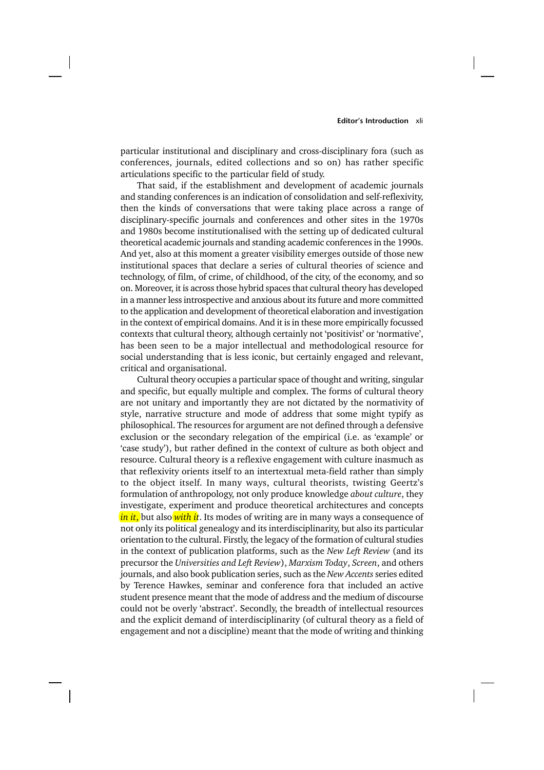particular institutional and disciplinary and cross-disciplinary fora (such as conferences, journals, edited collections and so on) has rather specific articulations specific to the particular field of study.

That said, if the establishment and development of academic journals and standing conferences is an indication of consolidation and self-reflexivity, then the kinds of conversations that were taking place across a range of disciplinary-specific journals and conferences and other sites in the 1970s and 1980s become institutionalised with the setting up of dedicated cultural theoretical academic journals and standing academic conferences in the 1990s. And yet, also at this moment a greater visibility emerges outside of those new institutional spaces that declare a series of cultural theories of science and technology, of film, of crime, of childhood, of the city, of the economy, and so on. Moreover, it is across those hybrid spaces that cultural theory has developed in a manner less introspective and anxious about its future and more committed to the application and development of theoretical elaboration and investigation in the context of empirical domains. And it is in these more empirically focussed contexts that cultural theory, although certainly not 'positivist' or 'normative', has been seen to be a major intellectual and methodological resource for social understanding that is less iconic, but certainly engaged and relevant, critical and organisational.

Cultural theory occupies a particular space of thought and writing, singular and specific, but equally multiple and complex. The forms of cultural theory are not unitary and importantly they are not dictated by the normativity of style, narrative structure and mode of address that some might typify as philosophical. The resources for argument are not defined through a defensive exclusion or the secondary relegation of the empirical (i.e. as 'example' or 'case study'), but rather defined in the context of culture as both object and resource. Cultural theory is a reflexive engagement with culture inasmuch as that reflexivity orients itself to an intertextual meta-field rather than simply to the object itself. In many ways, cultural theorists, twisting Geertz's formulation of anthropology, not only produce knowledge *about culture*, they investigate, experiment and produce theoretical architectures and concepts *in it*, but also *with it*. Its modes of writing are in many ways a consequence of not only its political genealogy and its interdisciplinarity, but also its particular orientation to the cultural. Firstly, the legacy of the formation of cultural studies in the context of publication platforms, such as the *New Left Review* (and its precursor the *Universities and Left Review*), *Marxism Today*, *Screen*, and others journals, and also book publication series, such as the *New Accents* series edited by Terence Hawkes, seminar and conference fora that included an active student presence meant that the mode of address and the medium of discourse could not be overly 'abstract'. Secondly, the breadth of intellectual resources and the explicit demand of interdisciplinarity (of cultural theory as a field of engagement and not a discipline) meant that the mode of writing and thinking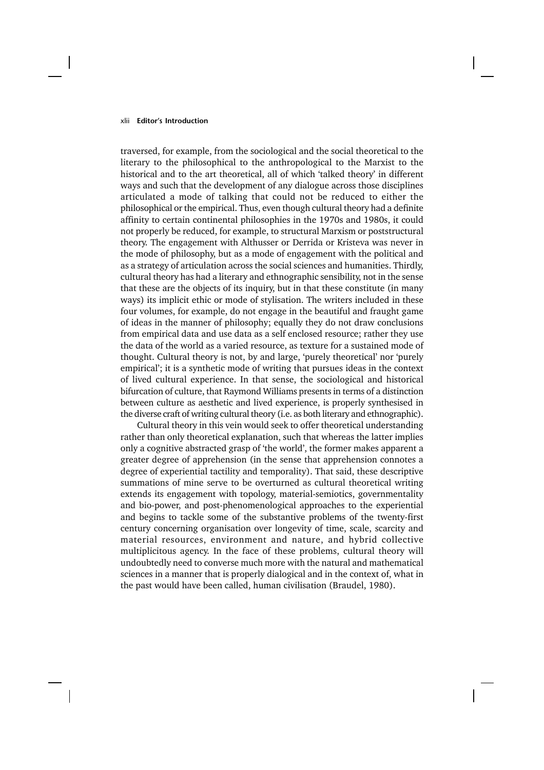#### xlii **Editor's Introduction**

traversed, for example, from the sociological and the social theoretical to the literary to the philosophical to the anthropological to the Marxist to the historical and to the art theoretical, all of which 'talked theory' in different ways and such that the development of any dialogue across those disciplines articulated a mode of talking that could not be reduced to either the philosophical or the empirical. Thus, even though cultural theory had a definite affinity to certain continental philosophies in the 1970s and 1980s, it could not properly be reduced, for example, to structural Marxism or poststructural theory. The engagement with Althusser or Derrida or Kristeva was never in the mode of philosophy, but as a mode of engagement with the political and as a strategy of articulation across the social sciences and humanities. Thirdly, cultural theory has had a literary and ethnographic sensibility, not in the sense that these are the objects of its inquiry, but in that these constitute (in many ways) its implicit ethic or mode of stylisation. The writers included in these four volumes, for example, do not engage in the beautiful and fraught game of ideas in the manner of philosophy; equally they do not draw conclusions from empirical data and use data as a self enclosed resource; rather they use the data of the world as a varied resource, as texture for a sustained mode of thought. Cultural theory is not, by and large, 'purely theoretical' nor 'purely empirical'; it is a synthetic mode of writing that pursues ideas in the context of lived cultural experience. In that sense, the sociological and historical bifurcation of culture, that Raymond Williams presents in terms of a distinction between culture as aesthetic and lived experience, is properly synthesised in the diverse craft of writing cultural theory (i.e. as both literary and ethnographic).

Cultural theory in this vein would seek to offer theoretical understanding rather than only theoretical explanation, such that whereas the latter implies only a cognitive abstracted grasp of 'the world', the former makes apparent a greater degree of apprehension (in the sense that apprehension connotes a degree of experiential tactility and temporality). That said, these descriptive summations of mine serve to be overturned as cultural theoretical writing extends its engagement with topology, material-semiotics, governmentality and bio-power, and post-phenomenological approaches to the experiential and begins to tackle some of the substantive problems of the twenty-first century concerning organisation over longevity of time, scale, scarcity and material resources, environment and nature, and hybrid collective multiplicitous agency. In the face of these problems, cultural theory will undoubtedly need to converse much more with the natural and mathematical sciences in a manner that is properly dialogical and in the context of, what in the past would have been called, human civilisation (Braudel, 1980).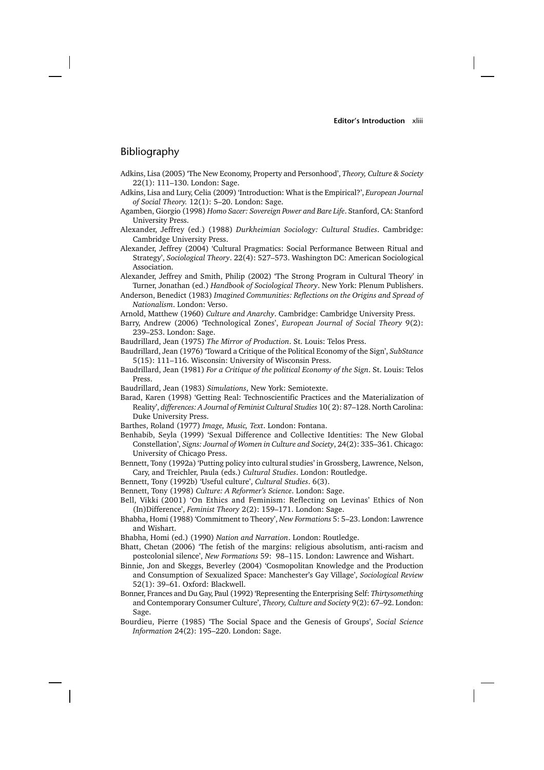### Bibliography

- Adkins, Lisa (2005) 'The New Economy, Property and Personhood', *Theory, Culture & Society* 22(1): 111–130. London: Sage.
- Adkins, Lisa and Lury, Celia (2009) 'Introduction: What is the Empirical?', *European Journal of Social Theory.* 12(1): 5–20. London: Sage.
- Agamben, Giorgio (1998) *Homo Sacer: Sovereign Power and Bare Life*. Stanford, CA: Stanford University Press.
- Alexander, Jeffrey (ed.) (1988) *Durkheimian Sociology: Cultural Studies*. Cambridge: Cambridge University Press.
- Alexander, Jeffrey (2004) 'Cultural Pragmatics: Social Performance Between Ritual and Strategy', *Sociological Theory*. 22(4): 527–573. Washington DC: American Sociological Association.

Alexander, Jeffrey and Smith, Philip (2002) 'The Strong Program in Cultural Theory' in Turner, Jonathan (ed.) *Handbook of Sociological Theory*. New York: Plenum Publishers.

- Anderson, Benedict (1983) *Imagined Communities: Reflections on the Origins and Spread of Nationalism*. London: Verso.
- Arnold, Matthew (1960) *Culture and Anarchy*. Cambridge: Cambridge University Press.
- Barry, Andrew (2006) 'Technological Zones', *European Journal of Social Theory* 9(2): 239–253. London: Sage.
- Baudrillard, Jean (1975) *The Mirror of Production*. St. Louis: Telos Press.
- Baudrillard, Jean (1976) 'Toward a Critique of the Political Economy of the Sign', *SubStance* 5(15): 111–116. Wisconsin: University of Wisconsin Press.
- Baudrillard, Jean (1981) *For a Critique of the political Economy of the Sign*. St. Louis: Telos Press.
- Baudrillard, Jean (1983) *Simulations*, New York: Semiotexte.
- Barad, Karen (1998) 'Getting Real: Technoscientific Practices and the Materialization of Reality', *differences: A Journal of Feminist Cultural Studies* 10( 2): 87–128. North Carolina: Duke University Press.
- Barthes, Roland (1977) *Image, Music, Text*. London: Fontana.
- Benhabib, Seyla (1999) 'Sexual Difference and Collective Identities: The New Global Constellation', *Signs: Journal of Women in Culture and Society*, 24(2): 335–361. Chicago: University of Chicago Press.
- Bennett, Tony (1992a) 'Putting policy into cultural studies' in Grossberg, Lawrence, Nelson, Cary, and Treichler, Paula (eds.) *Cultural Studies*. London: Routledge.
- Bennett, Tony (1992b) 'Useful culture', *Cultural Studies*. 6(3).
- Bennett, Tony (1998) *Culture: A Reformer's Science*. London: Sage.
- Bell, Vikki (2001) 'On Ethics and Feminism: Reflecting on Levinas' Ethics of Non (In)Difference', *Feminist Theory* 2(2): 159–171. London: Sage.
- Bhabha, Homi (1988) 'Commitment to Theory', *New Formations* 5: 5–23. London: Lawrence and Wishart.

Bhabha, Homi (ed.) (1990) *Nation and Narration*. London: Routledge.

- Bhatt, Chetan (2006) 'The fetish of the margins: religious absolutism, anti-racism and postcolonial silence', *New Formations* 59: 98–115. London: Lawrence and Wishart.
- Binnie, Jon and Skeggs, Beverley (2004) 'Cosmopolitan Knowledge and the Production and Consumption of Sexualized Space: Manchester's Gay Village', *Sociological Review* 52(1): 39–61. Oxford: Blackwell.
- Bonner, Frances and Du Gay, Paul (1992) 'Representing the Enterprising Self: *Thirtysomething* and Contemporary Consumer Culture', *Theory, Culture and Society* 9(2): 67–92. London: Sage.
- Bourdieu, Pierre (1985) 'The Social Space and the Genesis of Groups', *Social Science Information* 24(2): 195–220. London: Sage.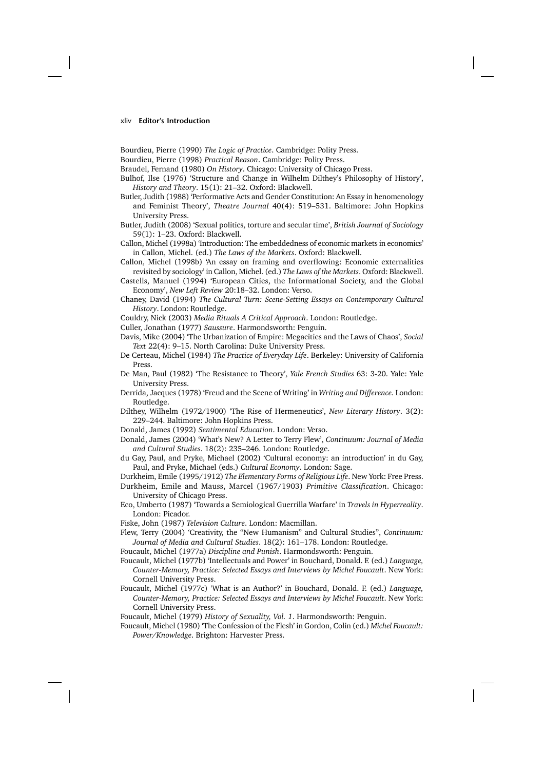#### xliv **Editor's Introduction**

Bourdieu, Pierre (1990) *The Logic of Practice*. Cambridge: Polity Press.

Bourdieu, Pierre (1998) *Practical Reason*. Cambridge: Polity Press.

- Braudel, Fernand (1980) *On History*. Chicago: University of Chicago Press.
- Bulhof, Ilse (1976) 'Structure and Change in Wilhelm Dilthey's Philosophy of History', *History and Theory*. 15(1): 21–32. Oxford: Blackwell.
- Butler, Judith (1988) 'Performative Acts and Gender Constitution: An Essay in henomenology and Feminist Theory', *Theatre Journal* 40(4): 519–531. Baltimore: John Hopkins University Press.
- Butler, Judith (2008) 'Sexual politics, torture and secular time', *British Journal of Sociology* 59(1): 1–23. Oxford: Blackwell.
- Callon, Michel (1998a) 'Introduction: The embeddedness of economic markets in economics' in Callon, Michel. (ed.) *The Laws of the Markets*. Oxford: Blackwell.
- Callon, Michel (1998b) 'An essay on framing and overflowing: Economic externalities revisited by sociology' in Callon, Michel. (ed.) *The Laws of the Markets*. Oxford: Blackwell.
- Castells, Manuel (1994) 'European Cities, the Informational Society, and the Global Economy', *New Left Review* 20:18–32. London: Verso.
- Chaney, David (1994) *The Cultural Turn: Scene-Setting Essays on Contemporary Cultural History*. London: Routledge.

Couldry, Nick (2003) *Media Rituals A Critical Approach*. London: Routledge.

Culler, Jonathan (1977) *Saussure*. Harmondsworth: Penguin.

Davis, Mike (2004) 'The Urbanization of Empire: Megacities and the Laws of Chaos', *Social Text* 22(4): 9–15. North Carolina: Duke University Press.

- De Certeau, Michel (1984) *The Practice of Everyday Life*. Berkeley: University of California Press.
- De Man, Paul (1982) 'The Resistance to Theory', *Yale French Studies* 63: 3-20. Yale: Yale University Press.
- Derrida, Jacques (1978) 'Freud and the Scene of Writing' in *Writing and Difference*. London: Routledge.
- Dilthey, Wilhelm (1972/1900) 'The Rise of Hermeneutics', *New Literary History*. 3(2): 229–244. Baltimore: John Hopkins Press.
- Donald, James (1992) *Sentimental Education*. London: Verso.
- Donald, James (2004) 'What's New? A Letter to Terry Flew', *Continuum: Journal of Media and Cultural Studies*. 18(2): 235–246. London: Routledge.

du Gay, Paul, and Pryke, Michael (2002) 'Cultural economy: an introduction' in du Gay, Paul, and Pryke, Michael (eds.) *Cultural Economy*. London: Sage.

Durkheim, Emile (1995/1912) *The Elementary Forms of Religious Life*. New York: Free Press.

Durkheim, Emile and Mauss, Marcel (1967/1903) *Primitive Classification*. Chicago: University of Chicago Press.

Eco, Umberto (1987) 'Towards a Semiological Guerrilla Warfare' in *Travels in Hyperreality*. London: Picador.

Fiske, John (1987) *Television Culture*. London: Macmillan.

- Flew, Terry (2004) 'Creativity, the "New Humanism" and Cultural Studies'', *Continuum: Journal of Media and Cultural Studies*. 18(2): 161–178. London: Routledge.
- Foucault, Michel (1977a) *Discipline and Punish*. Harmondsworth: Penguin.
- Foucault, Michel (1977b) 'Intellectuals and Power' in Bouchard, Donald. F. (ed.) *Language, Counter-Memory, Practice: Selected Essays and Interviews by Michel Foucault*. New York: Cornell University Press.
- Foucault, Michel (1977c) 'What is an Author?' in Bouchard, Donald. F. (ed.) *Language, Counter-Memory, Practice: Selected Essays and Interviews by Michel Foucault*. New York: Cornell University Press.
- Foucault, Michel (1979) *History of Sexuality, Vol. 1*. Harmondsworth: Penguin.
- Foucault, Michel (1980) 'The Confession of the Flesh' in Gordon, Colin (ed.) *Michel Foucault: Power/Knowledge*. Brighton: Harvester Press.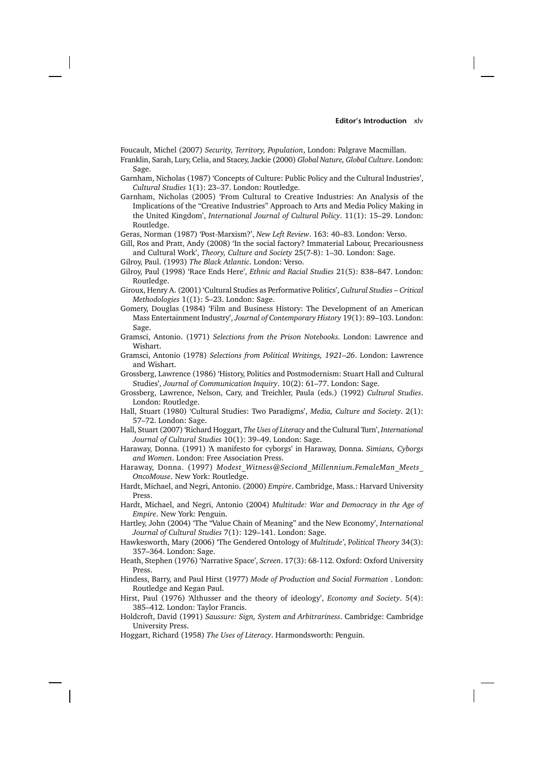Foucault, Michel (2007) *Security, Territory, Population*, London: Palgrave Macmillan.

- Franklin, Sarah, Lury, Celia, and Stacey, Jackie (2000) *Global Nature, Global Culture*. London: Sage.
- Garnham, Nicholas (1987) 'Concepts of Culture: Public Policy and the Cultural Industries', *Cultural Studies* 1(1): 23–37. London: Routledge.
- Garnham, Nicholas (2005) 'From Cultural to Creative Industries: An Analysis of the Implications of the "Creative Industries" Approach to Arts and Media Policy Making in the United Kingdom', *International Journal of Cultural Policy*. 11(1): 15–29. London: Routledge.
- Geras, Norman (1987) 'Post-Marxism?', *New Left Review*. 163: 40–83. London: Verso.
- Gill, Ros and Pratt, Andy (2008) 'In the social factory? Immaterial Labour, Precariousness and Cultural Work', *Theory, Culture and Society* 25(7-8): 1–30. London: Sage.
- Gilroy, Paul. (1993) *The Black Atlantic*. London: Verso.
- Gilroy, Paul (1998) 'Race Ends Here', *Ethnic and Racial Studies* 21(5): 838–847. London: Routledge.
- Giroux, Henry A. (2001) 'Cultural Studies as Performative Politics', *Cultural Studies Critical Methodologies* 1((1): 5–23. London: Sage.
- Gomery, Douglas (1984) 'Film and Business History: The Development of an American Mass Entertainment Industry', *Journal of Contemporary History* 19(1): 89–103. London: Sage.
- Gramsci, Antonio. (1971) *Selections from the Prison Notebooks*. London: Lawrence and Wishart.
- Gramsci, Antonio (1978) *Selections from Political Writings, 1921–26*. London: Lawrence and Wishart.
- Grossberg, Lawrence (1986) 'History, Politics and Postmodernism: Stuart Hall and Cultural Studies', *Journal of Communication Inquiry*. 10(2): 61–77. London: Sage.
- Grossberg, Lawrence, Nelson, Cary, and Treichler, Paula (eds.) (1992) *Cultural Studies*. London: Routledge.
- Hall, Stuart (1980) 'Cultural Studies: Two Paradigms', *Media, Culture and Society*. 2(1): 57–72. London: Sage.
- Hall, Stuart (2007) 'Richard Hoggart, *The Uses of Literacy* and the Cultural Turn', *International Journal of Cultural Studies* 10(1): 39–49. London: Sage.
- Haraway, Donna. (1991) 'A manifesto for cyborgs' in Haraway, Donna. *Simians, Cyborgs and Women*. London: Free Association Press.
- Haraway, Donna. (1997) *Modest\_Witness@Seciond\_Millennium.FemaleMan\_Meets\_ OncoMouse*. New York: Routledge.
- Hardt, Michael, and Negri, Antonio. (2000) *Empire*. Cambridge, Mass.: Harvard University Press.
- Hardt, Michael, and Negri, Antonio (2004) *Multitude: War and Democracy in the Age of Empire*. New York: Penguin.
- Hartley, John (2004) 'The "Value Chain of Meaning" and the New Economy', *International Journal of Cultural Studies* 7(1): 129–141. London: Sage.
- Hawkesworth, Mary (2006) 'The Gendered Ontology of *Multitude'*, P*olitical Theory* 34(3): 357–364. London: Sage.
- Heath, Stephen (1976) 'Narrative Space', *Screen*. 17(3): 68-112. Oxford: Oxford University Press.
- Hindess, Barry, and Paul Hirst (1977) *Mode of Production and Social Formation* . London: Routledge and Kegan Paul.
- Hirst, Paul (1976) 'Althusser and the theory of ideology', *Economy and Society*. 5(4): 385–412. London: Taylor Francis.
- Holdcroft, David (1991) *Saussure: Sign, System and Arbitrariness*. Cambridge: Cambridge University Press.
- Hoggart, Richard (1958) *The Uses of Literacy*. Harmondsworth: Penguin.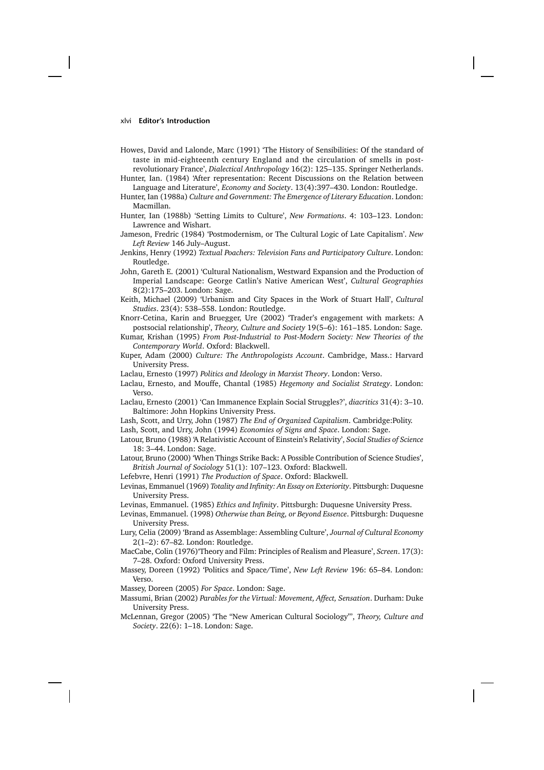#### xlvi **Editor's Introduction**

Howes, David and Lalonde, Marc (1991) 'The History of Sensibilities: Of the standard of taste in mid-eighteenth century England and the circulation of smells in postrevolutionary France', *Dialectical Anthropology* 16(2): 125–135. Springer Netherlands.

Hunter, Ian. (1984) 'After representation: Recent Discussions on the Relation between Language and Literature', *Economy and Society*. 13(4):397–430. London: Routledge.

- Hunter, Ian (1988a) *Culture and Government: The Emergence of Literary Education*. London: Macmillan.
- Hunter, Ian (1988b) 'Setting Limits to Culture', *New Formations*. 4: 103–123. London: Lawrence and Wishart.
- Jameson, Fredric (1984) 'Postmodernism, or The Cultural Logic of Late Capitalism'. *New Left Review* 146 July–August.
- Jenkins, Henry (1992) *Textual Poachers: Television Fans and Participatory Culture*. London: Routledge.
- John, Gareth E. (2001) 'Cultural Nationalism, Westward Expansion and the Production of Imperial Landscape: George Catlin's Native American West', *Cultural Geographies* 8(2):175–203. London: Sage.
- Keith, Michael (2009) 'Urbanism and City Spaces in the Work of Stuart Hall', *Cultural Studies*. 23(4): 538–558. London: Routledge.
- Knorr-Cetina, Karin and Bruegger, Ure (2002) 'Trader's engagement with markets: A postsocial relationship', *Theory, Culture and Society* 19(5–6): 161–185. London: Sage.
- Kumar, Krishan (1995) *From Post-Industrial to Post-Modern Society: New Theories of the Contemporary World*. Oxford: Blackwell.
- Kuper, Adam (2000) *Culture: The Anthropologists Account*. Cambridge, Mass.: Harvard University Press.

Laclau, Ernesto (1997) *Politics and Ideology in Marxist Theory*. London: Verso.

- Laclau, Ernesto, and Mouffe, Chantal (1985) *Hegemony and Socialist Strategy*. London: Verso.
- Laclau, Ernesto (2001) 'Can Immanence Explain Social Struggles?', *diacritics* 31(4): 3–10. Baltimore: John Hopkins University Press.
- Lash, Scott, and Urry, John (1987) *The End of Organized Capitalism*. Cambridge:Polity.
- Lash, Scott, and Urry, John (1994) *Economies of Signs and Space*. London: Sage.
- Latour, Bruno (1988) 'A Relativistic Account of Einstein's Relativity', *Social Studies of Science* 18: 3–44. London: Sage.

Latour, Bruno (2000) 'When Things Strike Back: A Possible Contribution of Science Studies', *British Journal of Sociology* 51(1): 107–123. Oxford: Blackwell.

Lefebvre, Henri (1991) *The Production of Space*. Oxford: Blackwell.

- Levinas, Emmanuel (1969) *Totality and Infinity: An Essay on Exteriority*. Pittsburgh: Duquesne University Press.
- Levinas, Emmanuel. (1985) *Ethics and Infinity*. Pittsburgh: Duquesne University Press.
- Levinas, Emmanuel. (1998) *Otherwise than Being, or Beyond Essence*. Pittsburgh: Duquesne University Press.
- Lury, Celia (2009) 'Brand as Assemblage: Assembling Culture', *Journal of Cultural Economy* 2(1–2): 67–82. London: Routledge.
- MacCabe, Colin (1976)'Theory and Film: Principles of Realism and Pleasure', *Screen*. 17(3): 7–28. Oxford: Oxford University Press.
- Massey, Doreen (1992) 'Politics and Space/Time', *New Left Review* 196: 65–84. London: Verso.
- Massey, Doreen (2005) *For Space*. London: Sage.
- Massumi, Brian (2002) *Parables for the Virtual: Movement, Affect, Sensation*. Durham: Duke University Press.
- McLennan, Gregor (2005) 'The "New American Cultural Sociology"', *Theory, Culture and Society*. 22(6): 1–18. London: Sage.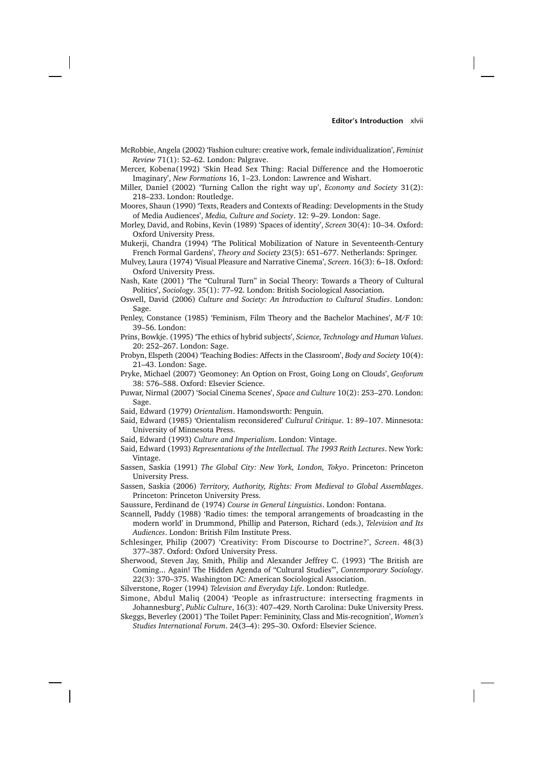- McRobbie, Angela (2002) 'Fashion culture: creative work, female individualization', *Feminist Review* 71(1): 52–62. London: Palgrave.
- Mercer, Kobena(1992) 'Skin Head Sex Thing: Racial Difference and the Homoerotic Imaginary', *New Formations* 16, 1–23. London: Lawrence and Wishart.
- Miller, Daniel (2002) 'Turning Callon the right way up', *Economy and Society* 31(2): 218–233. London: Routledge.
- Moores, Shaun (1990) 'Texts, Readers and Contexts of Reading: Developments in the Study of Media Audiences', *Media, Culture and Society*. 12: 9–29. London: Sage.
- Morley, David, and Robins, Kevin (1989) 'Spaces of identity', *Screen* 30(4): 10–34. Oxford: Oxford University Press.
- Mukerji, Chandra (1994) 'The Political Mobilization of Nature in Seventeenth-Century French Formal Gardens', *Theory and Society* 23(5): 651–677. Netherlands: Springer.
- Mulvey, Laura (1974) 'Visual Pleasure and Narrative Cinema', *Screen*. 16(3): 6–18. Oxford: Oxford University Press.
- Nash, Kate (2001) 'The "Cultural Turn" in Social Theory: Towards a Theory of Cultural Politics', *Sociology*. 35(1): 77–92. London: British Sociological Association.
- Oswell, David (2006) *Culture and Society: An Introduction to Cultural Studies*. London: Sage.
- Penley, Constance (1985) 'Feminism, Film Theory and the Bachelor Machines', *M/F* 10: 39–56. London:
- Prins, Bowkje. (1995) 'The ethics of hybrid subjects', *Science, Technology and Human Values*. 20: 252–267. London: Sage.
- Probyn, Elspeth (2004) 'Teaching Bodies: Affects in the Classroom', *Body and Society* 10(4): 21–43. London: Sage.
- Pryke, Michael (2007) 'Geomoney: An Option on Frost, Going Long on Clouds', *Geoforum* 38: 576–588. Oxford: Elsevier Science.
- Puwar, Nirmal (2007) 'Social Cinema Scenes', *Space and Culture* 10(2): 253–270. London: Sage.
- Said, Edward (1979) *Orientalism*. Hamondsworth: Penguin.
- Said, Edward (1985) 'Orientalism reconsidered' *Cultural Critique*. 1: 89–107. Minnesota: University of Minnesota Press.
- Said, Edward (1993) *Culture and Imperialism*. London: Vintage.
- Said, Edward (1993) *Representations of the Intellectual. The 1993 Reith Lectures*. New York: Vintage.
- Sassen, Saskia (1991) *The Global City: New York, London, Tokyo*. Princeton: Princeton University Press.
- Sassen, Saskia (2006) *Territory, Authority, Rights: From Medieval to Global Assemblages*. Princeton: Princeton University Press.
- Saussure, Ferdinand de (1974) *Course in General Linguistics*. London: Fontana.
- Scannell, Paddy (1988) 'Radio times: the temporal arrangements of broadcasting in the modern world' in Drummond, Phillip and Paterson, Richard (eds.), *Television and Its Audiences*. London: British Film Institute Press.
- Schlesinger, Philip (2007) 'Creativity: From Discourse to Doctrine?', *Screen*. 48(3) 377–387. Oxford: Oxford University Press.
- Sherwood, Steven Jay, Smith, Philip and Alexander Jeffrey C. (1993) 'The British are Coming... Again! The Hidden Agenda of "Cultural Studies"', *Contemporary Sociology*. 22(3): 370–375. Washington DC: American Sociological Association.
- Silverstone, Roger (1994) *Television and Everyday Life*. London: Rutledge.
- Simone, Abdul Maliq (2004) 'People as infrastructure: intersecting fragments in Johannesburg', *Public Culture*, 16(3): 407–429. North Carolina: Duke University Press.
- Skeggs, Beverley (2001) 'The Toilet Paper: Femininity, Class and Mis-recognition', *Women's Studies International Forum*. 24(3–4): 295–30. Oxford: Elsevier Science.